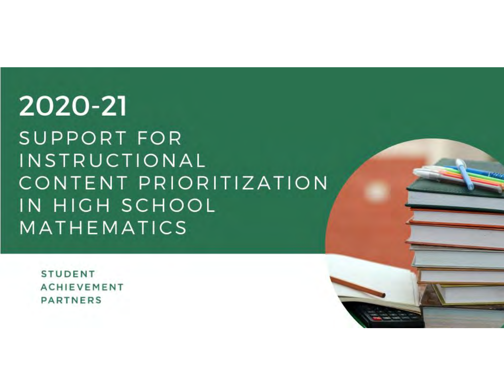# 2020-21 **SUPPORT FOR** INSTRUCTIONAL CONTENT PRIORITIZATION IN HIGH SCHOOL MATHEMATICS

**STUDENT ACHIEVEMENT PARTNERS**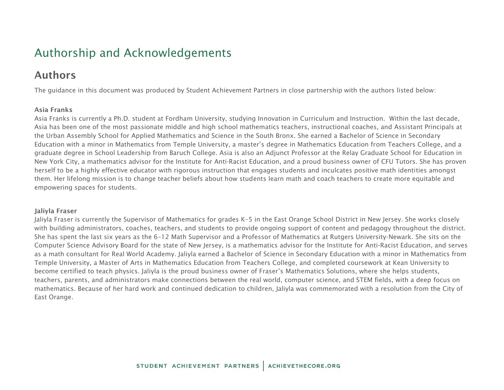### Authorship and Acknowledgements

### Authors

The guidance in this document was produced by Student Achievement Partners in close partnership with the authors listed below:

#### Asia Franks

Asia Franks is currently a Ph.D. student at Fordham University, studying Innovation in Curriculum and Instruction. Within the last decade, Asia has been one of the most passionate middle and high school mathematics teachers, instructional coaches, and Assistant Principals at the Urban Assembly School for Applied Mathematics and Science in the South Bronx. She earned a Bachelor of Science in Secondary Education with a minor in Mathematics from Temple University, a master's degree in Mathematics Education from Teachers College, and a graduate degree in School Leadership from Baruch College. Asia is also an Adjunct Professor at the Relay Graduate School for Education in New York City, a mathematics advisor for the Institute for Anti-Racist Education, and a proud business owner of CFU Tutors. She has proven herself to be a highly effective educator with rigorous instruction that engages students and inculcates positive math identities amongst them. Her lifelong mission is to change teacher beliefs about how students learn math and coach teachers to create more equitable and empowering spaces for students.

#### Jaliyla Fraser

Jaliyla Fraser is currently the Supervisor of Mathematics for grades K–5 in the East Orange School District in New Jersey. She works closely with building administrators, coaches, teachers, and students to provide ongoing support of content and pedagogy throughout the district. She has spent the last six years as the 6–12 Math Supervisor and a Professor of Mathematics at Rutgers University-Newark. She sits on the Computer Science Advisory Board for the state of New Jersey, is a mathematics advisor for the Institute for Anti-Racist Education, and serves as a math consultant for Real World Academy. Jaliyla earned a Bachelor of Science in Secondary Education with a minor in Mathematics from Temple University, a Master of Arts in Mathematics Education from Teachers College, and completed coursework at Kean University to become certified to teach physics. Jaliyla is the proud business owner of Fraser's Mathematics Solutions, where she helps students, teachers, parents, and administrators make connections between the real world, computer science, and STEM fields, with a deep focus on mathematics. Because of her hard work and continued dedication to children, Jaliyla was commemorated with a resolution from the City of East Orange.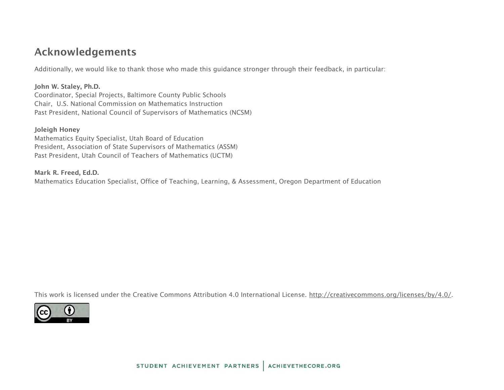### Acknowledgements

Additionally, we would like to thank those who made this guidance stronger through their feedback, in particular:

John W. Staley, Ph.D. Coordinator, Special Projects, Baltimore County Public Schools Chair, U.S. National Commission on Mathematics Instruction Past President, National Council of Supervisors of Mathematics (NCSM)

#### Joleigh Honey

Mathematics Equity Specialist, Utah Board of Education President, Association of State Supervisors of Mathematics (ASSM) Past President, Utah Council of Teachers of Mathematics (UCTM)

#### Mark R. Freed, Ed.D.

Mathematics Education Specialist, Office of Teaching, Learning, & Assessment, Oregon Department of Education

This work is licensed under the Creative Commons Attribution 4.0 International License. [http://creativecommons.org/licenses/by/4.0/.](http://creativecommons.org/licenses/by/4.0/)

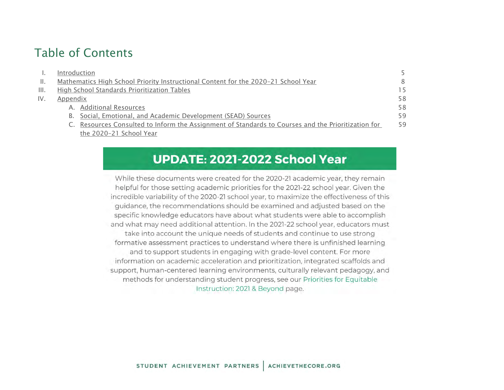### Table of Contents

|                | Introduction                                                                                       |    |
|----------------|----------------------------------------------------------------------------------------------------|----|
| $\mathbb{H}$ . | Mathematics High School Priority Instructional Content for the 2020-21 School Year                 | 8  |
| III.           | High School Standards Prioritization Tables                                                        | 15 |
| IV.            | Appendix                                                                                           | 58 |
|                | A. Additional Resources                                                                            | 58 |
|                | B. Social, Emotional, and Academic Development (SEAD) Sources                                      | 59 |
|                | C. Resources Consulted to Inform the Assignment of Standards to Courses and the Prioritization for | 59 |
|                | the 2020-21 School Year                                                                            |    |

### UPDATE: 2021-2022 School Year

While these documents were created for the 2020-21 academic year, they remain helpful for those setting academic priorities for the 2021-22 school year. Given the incredible variability of the 2020-21 school year, to maximize the effectiveness of this guidance, the recommendations should be examined and adjusted based on the specific knowledge educators have about what students were able to accomplish and what may need additional attention. In the 2021-22 school year, educators must take into account the unique needs of students and continue to use strong formative assessment practices to understand where there is unfinished learning and to support students in engaging with grade-level content. For more information on academic acceleration and prioritization, integrated scaffolds and support, human-centered learning environments, culturally relevant pedagogy, and methods for understanding student progress, see our Priorities for Equitable Instruction: 2021 & Beyond page.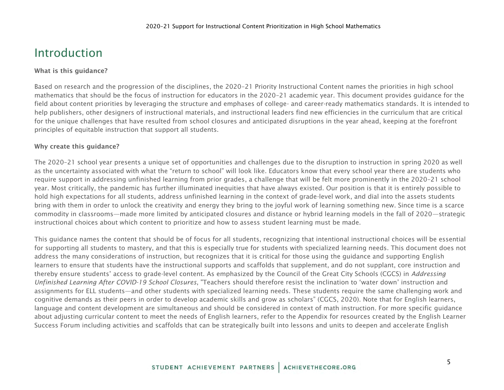### <span id="page-4-0"></span>Introduction

#### What is this guidance?

Based on research and the progression of the disciplines, the 2020–21 Priority Instructional Content names the priorities in high school mathematics that should be the focus of instruction for educators in the 2020–21 academic year. This document provides guidance for the field about content priorities by leveraging the structure and emphases of college- and career-ready mathematics standards. It is intended to help publishers, other designers of instructional materials, and instructional leaders find new efficiencies in the curriculum that are critical for the unique challenges that have resulted from school closures and anticipated disruptions in the year ahead, keeping at the forefront principles of equitable instruction that support all students.

#### Why create this guidance?

The 2020–21 school year presents a unique set of opportunities and challenges due to the disruption to instruction in spring 2020 as well as the uncertainty associated with what the "return to school" will look like. Educators know that every school year there are students who require support in addressing unfinished learning from prior grades, a challenge that will be felt more prominently in the 2020–21 school year. Most critically, the pandemic has further illuminated inequities that have always existed. Our position is that it is entirely possible to hold high expectations for all students, address unfinished learning in the context of grade-level work, and dial into the assets students bring with them in order to unlock the creativity and energy they bring to the joyful work of learning something new. Since time is a scarce commodity in classrooms—made more limited by anticipated closures and distance or hybrid learning models in the fall of 2020—strategic instructional choices about which content to prioritize and how to assess student learning must be made.

This guidance names the content that should be of focus for all students, recognizing that intentional instructional choices will be essential for supporting all students to mastery, and that this is especially true for students with specialized learning needs. This document does not address the many considerations of instruction, but recognizes that it is critical for those using the guidance and supporting English learners to ensure that students have the instructional supports and scaffolds that supplement, and do not supplant, core instruction and thereby ensure students' access to grade-level content. As emphasized by the Council of the Great City Schools (CGCS) in *Addressing Unfinished Learning After COVID-19 School Closures*, "Teachers should therefore resist the inclination to 'water down' instruction and assignments for ELL students—and other students with specialized learning needs. These students require the same challenging work and cognitive demands as their peers in order to develop academic skills and grow as scholars" (CGCS, 2020). Note that for English learners, language and content development are simultaneous and should be considered in context of math instruction. For more specific guidance about adjusting curricular content to meet the needs of English learners, refer to the Appendix for resources created by the English Learner Success Forum including activities and scaffolds that can be strategically built into lessons and units to deepen and accelerate English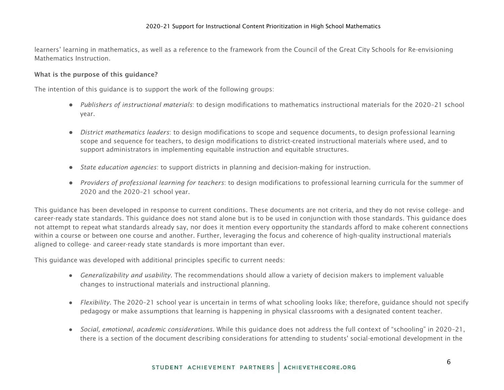learners' learning in mathematics, as well as a reference to the framework from the Council of the Great City Schools for Re-envisioning Mathematics Instruction.

#### What is the purpose of this guidance?

The intention of this guidance is to support the work of the following groups:

- *Publishers of instructional materials*: to design modifications to mathematics instructional materials for the 2020–21 school year.
- *District mathematics leaders*: to design modifications to scope and sequence documents, to design professional learning scope and sequence for teachers, to design modifications to district-created instructional materials where used, and to support administrators in implementing equitable instruction and equitable structures.
- *State education agencies*: to support districts in planning and decision-making for instruction.
- *Providers of professional learning for teachers*: to design modifications to professional learning curricula for the summer of 2020 and the 2020–21 school year.

This guidance has been developed in response to current conditions. These documents are not criteria, and they do not revise college- and career-ready state standards. This guidance does not stand alone but is to be used in conjunction with those standards. This guidance does not attempt to repeat what standards already say, nor does it mention every opportunity the standards afford to make coherent connections within a course or between one course and another. Further, leveraging the focus and coherence of high-quality instructional materials aligned to college- and career-ready state standards is more important than ever.

This guidance was developed with additional principles specific to current needs:

- *Generalizability and usability.* The recommendations should allow a variety of decision makers to implement valuable changes to instructional materials and instructional planning.
- *Flexibility.* The 2020–21 school year is uncertain in terms of what schooling looks like; therefore, guidance should not specify pedagogy or make assumptions that learning is happening in physical classrooms with a designated content teacher.
- *Social, emotional, academic considerations.* While this guidance does not address the full context of "schooling" in 2020–21, there is a section of the document describing considerations for attending to students' social-emotional development in the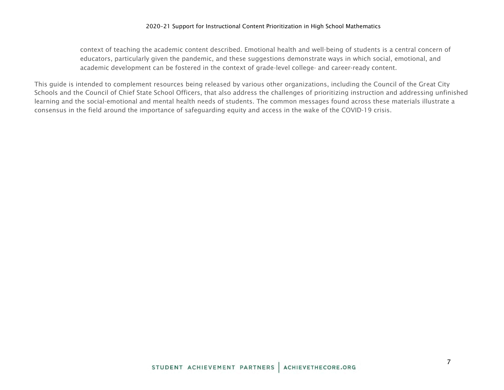context of teaching the academic content described. Emotional health and well-being of students is a central concern of educators, particularly given the pandemic, and these suggestions demonstrate ways in which social, emotional, and academic development can be fostered in the context of grade-level college- and career-ready content.

This guide is intended to complement resources being released by various other organizations, including the Council of the Great City Schools and the Council of Chief State School Officers, that also address the challenges of prioritizing instruction and addressing unfinished learning and the social-emotional and mental health needs of students. The common messages found across these materials illustrate a consensus in the field around the importance of safeguarding equity and access in the wake of the COVID-19 crisis.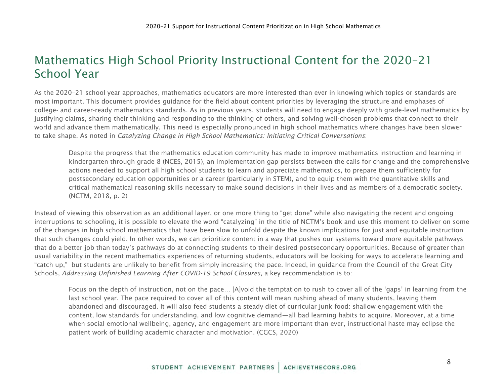### <span id="page-7-0"></span>Mathematics High School Priority Instructional Content for the 2020–21 School Year

As the 2020–21 school year approaches, mathematics educators are more interested than ever in knowing which topics or standards are most important. This document provides guidance for the field about content priorities by leveraging the structure and emphases of college- and career-ready mathematics standards. As in previous years, students will need to engage deeply with grade-level mathematics by justifying claims, sharing their thinking and responding to the thinking of others, and solving well-chosen problems that connect to their world and advance them mathematically. This need is especially pronounced in high school mathematics where changes have been slower to take shape. As noted in *Catalyzing Change in High School Mathematics: Initiating Critical Conversations*:

Despite the progress that the mathematics education community has made to improve mathematics instruction and learning in kindergarten through grade 8 (NCES, 2015), an implementation gap persists between the calls for change and the comprehensive actions needed to support all high school students to learn and appreciate mathematics, to prepare them sufficiently for postsecondary education opportunities or a career (particularly in STEM), and to equip them with the quantitative skills and critical mathematical reasoning skills necessary to make sound decisions in their lives and as members of a democratic society. (NCTM, 2018, p. 2)

Instead of viewing this observation as an additional layer, or one more thing to "get done" while also navigating the recent and ongoing interruptions to schooling, it is possible to elevate the word "catalyzing" in the title of NCTM's book and use this moment to deliver on some of the changes in high school mathematics that have been slow to unfold despite the known implications for just and equitable instruction that such changes could yield. In other words, we can prioritize content in a way that pushes our systems toward more equitable pathways that do a better job than today's pathways do at connecting students to their desired postsecondary opportunities. Because of greater than usual variability in the recent mathematics experiences of returning students, educators will be looking for ways to accelerate learning and "catch up," but students are unlikely to benefit from simply increasing the pace. Indeed, in guidance from the Council of the Great City Schools, *Addressing Unfinished Learning After COVID-19 School Closures*, a key recommendation is to:

Focus on the depth of instruction, not on the pace… [A]void the temptation to rush to cover all of the 'gaps' in learning from the last school year. The pace required to cover all of this content will mean rushing ahead of many students, leaving them abandoned and discouraged. It will also feed students a steady diet of curricular junk food: shallow engagement with the content, low standards for understanding, and low cognitive demand—all bad learning habits to acquire. Moreover, at a time when social emotional wellbeing, agency, and engagement are more important than ever, instructional haste may eclipse the patient work of building academic character and motivation. (CGCS, 2020)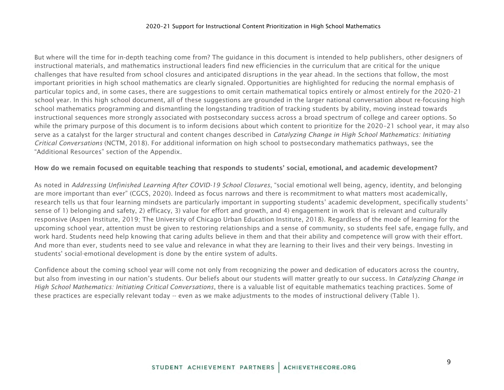But where will the time for in-depth teaching come from? The guidance in this document is intended to help publishers, other designers of instructional materials, and mathematics instructional leaders find new efficiencies in the curriculum that are critical for the unique challenges that have resulted from school closures and anticipated disruptions in the year ahead. In the sections that follow, the most important priorities in high school mathematics are clearly signaled. Opportunities are highlighted for reducing the normal emphasis of particular topics and, in some cases, there are suggestions to omit certain mathematical topics entirely or almost entirely for the 2020–21 school year. In this high school document, all of these suggestions are grounded in the larger national conversation about re-focusing high school mathematics programming and dismantling the longstanding tradition of tracking students by ability, moving instead towards instructional sequences more strongly associated with postsecondary success across a broad spectrum of college and career options. So while the primary purpose of this document is to inform decisions about which content to prioritize for the 2020–21 school year, it may also serve as a catalyst for the larger structural and content changes described in *Catalyzing Change in High School Mathematics: Initiating Critical Conversations* (NCTM, 2018). For additional information on high school to postsecondary mathematics pathways, see the "Additional Resources" section of the Appendix.

#### How do we remain focused on equitable teaching that responds to students' social, emotional, and academic development?

As noted in *Addressing Unfinished Learning After COVID-19 School Closures*, "social emotional well being, agency, identity, and belonging are more important than ever" (CGCS, 2020). Indeed as focus narrows and there is recommitment to what matters most academically, research tells us that four learning mindsets are particularly important in supporting students' academic development, specifically students' sense of 1) belonging and safety, 2) efficacy, 3) value for effort and growth, and 4) engagement in work that is relevant and culturally responsive (Aspen Institute, 2019; The University of Chicago Urban Education Institute, 2018). Regardless of the mode of learning for the upcoming school year, attention must be given to restoring relationships and a sense of community, so students feel safe, engage fully, and work hard. Students need help knowing that caring adults believe in them and that their ability and competence will grow with their effort. And more than ever, students need to see value and relevance in what they are learning to their lives and their very beings. Investing in students' social-emotional development is done by the entire system of adults.

Confidence about the coming school year will come not only from recognizing the power and dedication of educators across the country, but also from investing in our nation's students. Our beliefs about our students will matter greatly to our success. In *Catalyzing Change in High School Mathematics: Initiating Critical Conversations*, there is a valuable list of equitable mathematics teaching practices. Some of these practices are especially relevant today -- even as we make adjustments to the modes of instructional delivery (Table 1).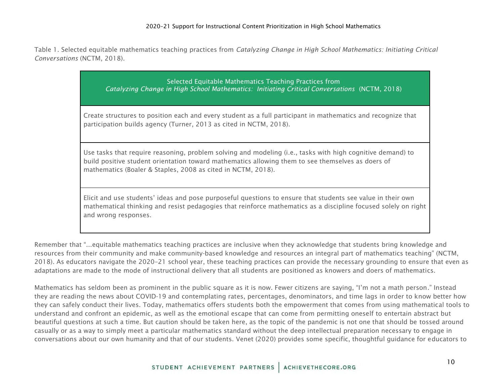Table 1. Selected equitable mathematics teaching practices from *Catalyzing Change in High School Mathematics: Initiating Critical Conversations* (NCTM, 2018).

> Selected Equitable Mathematics Teaching Practices from *Catalyzing Change in High School Mathematics: Initiating Critical Conversations* (NCTM, 2018) Create structures to position each and every student as a full participant in mathematics and recognize that participation builds agency (Turner, 2013 as cited in NCTM, 2018). Use tasks that require reasoning, problem solving and modeling (i.e., tasks with high cognitive demand) to build positive student orientation toward mathematics allowing them to see themselves as doers of mathematics (Boaler & Staples, 2008 as cited in NCTM, 2018). Elicit and use students' ideas and pose purposeful questions to ensure that students see value in their own

mathematical thinking and resist pedagogies that reinforce mathematics as a discipline focused solely on right and wrong responses.

Remember that "...equitable mathematics teaching practices are inclusive when they acknowledge that students bring knowledge and resources from their community and make community-based knowledge and resources an integral part of mathematics teaching" (NCTM, 2018). As educators navigate the 2020–21 school year, these teaching practices can provide the necessary grounding to ensure that even as adaptations are made to the mode of instructional delivery that all students are positioned as knowers and doers of mathematics.

Mathematics has seldom been as prominent in the public square as it is now. Fewer citizens are saying, "I'm not a math person." Instead they are reading the news about COVID-19 and contemplating rates, percentages, denominators, and time lags in order to know better how they can safely conduct their lives. Today, mathematics offers students both the empowerment that comes from using mathematical tools to understand and confront an epidemic, as well as the emotional escape that can come from permitting oneself to entertain abstract but beautiful questions at such a time. But caution should be taken here, as the topic of the pandemic is not one that should be tossed around casually or as a way to simply meet a particular mathematics standard without the deep intellectual preparation necessary to engage in conversations about our own humanity and that of our students. Venet (2020) provides some specific, thoughtful guidance for educators to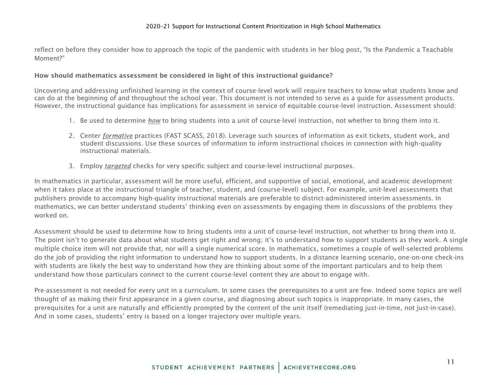reflect on before they consider how to approach the topic of the pandemic with students in her blog post, "Is the Pandemic a Teachable Moment?"

#### How should mathematics assessment be considered in light of this instructional guidance?

Uncovering and addressing unfinished learning in the context of course-level work will require teachers to know what students know and can do at the beginning of and throughout the school year. This document is not intended to serve as a guide for assessment products. However, the instructional guidance has implications for assessment in service of equitable course-level instruction. Assessment should:

- 1. Be used to determine *how* to bring students into a unit of course-level instruction, not whether to bring them into it.
- 2. Center *formative* practices (FAST SCASS, 2018). Leverage such sources of information as exit tickets, student work, and student discussions. Use these sources of information to inform instructional choices in connection with high-quality instructional materials.
- 3. Employ *targeted* checks for very specific subject and course-level instructional purposes.

In mathematics in particular, assessment will be more useful, efficient, and supportive of social, emotional, and academic development when it takes place at the instructional triangle of teacher, student, and (course-level) subject. For example, unit-level assessments that publishers provide to accompany high-quality instructional materials are preferable to district-administered interim assessments. In mathematics, we can better understand students' thinking even on assessments by engaging them in discussions of the problems they worked on.

Assessment should be used to determine how to bring students into a unit of course-level instruction, not whether to bring them into it. The point isn't to generate data about what students get right and wrong; it's to understand how to support students as they work. A single multiple choice item will not provide that, nor will a single numerical score. In mathematics, sometimes a couple of well-selected problems do the job of providing the right information to understand how to support students. In a distance learning scenario, one-on-one check-ins with students are likely the best way to understand how they are thinking about some of the important particulars and to help them understand how those particulars connect to the current course-level content they are about to engage with.

Pre-assessment is not needed for every unit in a curriculum. In some cases the prerequisites to a unit are few. Indeed some topics are well thought of as making their first appearance in a given course, and diagnosing about such topics is inappropriate. In many cases, the prerequisites for a unit are naturally and efficiently prompted by the content of the unit itself (remediating just-in-time, not just-in-case). And in some cases, students' entry is based on a longer trajectory over multiple years.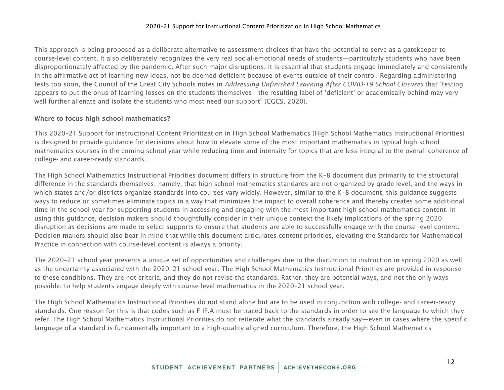This approach is being proposed as a deliberate alternative to assessment choices that have the potential to serve as a gatekeeper to course-level content. It also deliberately recognizes the very real social-emotional needs of students—particularly students who have been disproportionately affected by the pandemic. After such major disruptions, it is essential that students engage immediately and consistently in the affirmative act of learning new ideas, not be deemed deficient because of events outside of their control. Regarding administering tests too soon, the Council of the Great City Schools notes in *Addressing Unfinished Learning After COVID-19 School Closures* that "testing appears to put the onus of learning losses on the students themselves—the resulting label of 'deficient' or academically behind may very well further alienate and isolate the students who most need our support" (CGCS, 2020).

#### Where to focus high school mathematics?

This 2020–21 Support for Instructional Content Prioritization in High School Mathematics (High School Mathematics Instructional Priorities) is designed to provide guidance for decisions about how to elevate some of the most important mathematics in typical high school mathematics courses in the coming school year while reducing time and intensity for topics that are less integral to the overall coherence of college- and career-ready standards.

The High School Mathematics Instructional Priorities document differs in structure from the K–8 document due primarily to the structural difference in the standards themselves: namely, that high school mathematics standards are not organized by grade level, and the ways in which states and/or districts organize standards into courses vary widely. However, similar to the K–8 document, this guidance suggests ways to reduce or sometimes eliminate topics in a way that minimizes the impact to overall coherence and thereby creates some additional time in the school year for supporting students in accessing and engaging with the most important high school mathematics content. In using this guidance, decision makers should thoughtfully consider in their unique context the likely implications of the spring 2020 disruption as decisions are made to select supports to ensure that students are able to successfully engage with the course-level content. Decision makers should also bear in mind that while this document articulates content priorities, elevating the Standards for Mathematical Practice in connection with course-level content is always a priority.

The 2020–21 school year presents a unique set of opportunities and challenges due to the disruption to instruction in spring 2020 as well as the uncertainty associated with the 2020–21 school year. The High School Mathematics Instructional Priorities are provided in response to these conditions. They are not criteria, and they do not revise the standards. Rather, they are potential ways, and not the only ways possible, to help students engage deeply with course-level mathematics in the 2020–21 school year.

The High School Mathematics Instructional Priorities do not stand alone but are to be used in conjunction with college- and career-ready standards. One reason for this is that codes such as F-IF.A must be traced back to the standards in order to see the language to which they refer. The High School Mathematics Instructional Priorities do not reiterate what the standards already say—even in cases where the specific language of a standard is fundamentally important to a high-quality aligned curriculum. Therefore, the High School Mathematics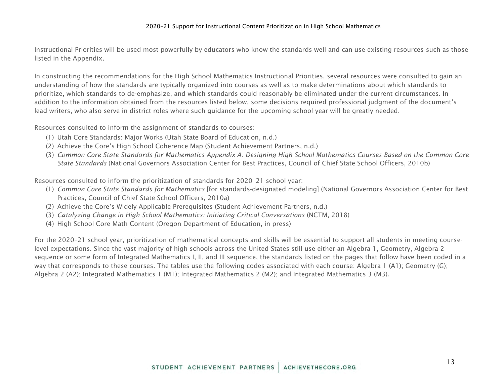Instructional Priorities will be used most powerfully by educators who know the standards well and can use existing resources such as those listed in the Appendix.

In constructing the recommendations for the High School Mathematics Instructional Priorities, several resources were consulted to gain an understanding of how the standards are typically organized into courses as well as to make determinations about which standards to prioritize, which standards to de-emphasize, and which standards could reasonably be eliminated under the current circumstances. In addition to the information obtained from the resources listed below, some decisions required professional judgment of the document's lead writers, who also serve in district roles where such guidance for the upcoming school year will be greatly needed.

Resources consulted to inform the assignment of standards to courses:

- (1) Utah Core Standards: Major Works (Utah State Board of Education, n.d.)
- (2) Achieve the Core's High School Coherence Map (Student Achievement Partners, n.d.)
- (3) *Common Core State Standards for Mathematics Appendix A: Designing High School Mathematics Courses Based on the Common Core State Standards* (National Governors Association Center for Best Practices, Council of Chief State School Officers, 2010b)

Resources consulted to inform the prioritization of standards for 2020–21 school year:

- (1) *Common Core State Standards for Mathematics* [for standards-designated modeling] (National Governors Association Center for Best Practices, Council of Chief State School Officers, 2010a)
- (2) Achieve the Core's Widely Applicable Prerequisites (Student Achievement Partners, n.d.)
- (3) *Catalyzing Change in High School Mathematics: Initiating Critical Conversations* (NCTM, 2018)
- (4) High School Core Math Content (Oregon Department of Education, in press)

For the 2020–21 school year, prioritization of mathematical concepts and skills will be essential to support all students in meeting courselevel expectations. Since the vast majority of high schools across the United States still use either an Algebra 1, Geometry, Algebra 2 sequence or some form of Integrated Mathematics I, II, and III sequence, the standards listed on the pages that follow have been coded in a way that corresponds to these courses. The tables use the following codes associated with each course: Algebra 1 (A1); Geometry (G); Algebra 2 (A2); Integrated Mathematics 1 (M1); Integrated Mathematics 2 (M2); and Integrated Mathematics 3 (M3).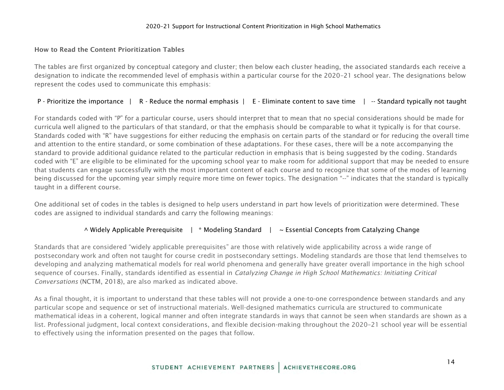#### How to Read the Content Prioritization Tables

The tables are first organized by conceptual category and cluster; then below each cluster heading, the associated standards each receive a designation to indicate the recommended level of emphasis within a particular course for the 2020–21 school year. The designations below represent the codes used to communicate this emphasis:

#### P - Prioritize the importance | R - Reduce the normal emphasis | E - Eliminate content to save time | -- Standard typically not taught

For standards coded with "P" for a particular course, users should interpret that to mean that no special considerations should be made for curricula well aligned to the particulars of that standard, or that the emphasis should be comparable to what it typically is for that course. Standards coded with "R" have suggestions for either reducing the emphasis on certain parts of the standard or for reducing the overall time and attention to the entire standard, or some combination of these adaptations. For these cases, there will be a note accompanying the standard to provide additional guidance related to the particular reduction in emphasis that is being suggested by the coding. Standards coded with "E" are eligible to be eliminated for the upcoming school year to make room for additional support that may be needed to ensure that students can engage successfully with the most important content of each course and to recognize that some of the modes of learning being discussed for the upcoming year simply require more time on fewer topics. The designation "--" indicates that the standard is typically taught in a different course.

One additional set of codes in the tables is designed to help users understand in part how levels of prioritization were determined. These codes are assigned to individual standards and carry the following meanings:

#### $\land$  Widely Applicable Prerequisite | \* Modeling Standard |  $\sim$  Essential Concepts from Catalyzing Change

Standards that are considered "widely applicable prerequisites" are those with relatively wide applicability across a wide range of postsecondary work and often not taught for course credit in postsecondary settings. Modeling standards are those that lend themselves to developing and analyzing mathematical models for real world phenomena and generally have greater overall importance in the high school sequence of courses. Finally, standards identified as essential in *Catalyzing Change in High School Mathematics: Initiating Critical Conversations* (NCTM, 2018), are also marked as indicated above.

As a final thought, it is important to understand that these tables will not provide a one-to-one correspondence between standards and any particular scope and sequence or set of instructional materials. Well-designed mathematics curricula are structured to communicate mathematical ideas in a coherent, logical manner and often integrate standards in ways that cannot be seen when standards are shown as a list. Professional judgment, local context considerations, and flexible decision-making throughout the 2020–21 school year will be essential to effectively using the information presented on the pages that follow.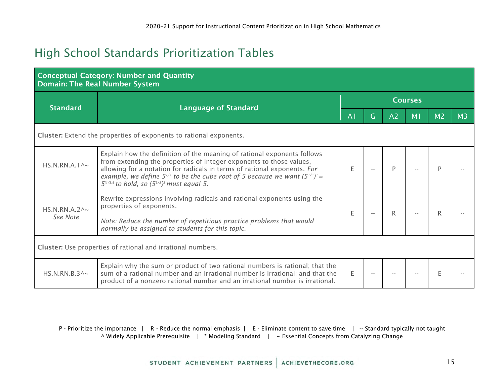# <span id="page-14-0"></span>High School Standards Prioritization Tables

| <b>Conceptual Category: Number and Quantity</b><br><b>Domain: The Real Number System</b> |                                                                                                                                                                                                                                                                                                                                                                             |                |    |                |                |                |                |  |  |  |  |
|------------------------------------------------------------------------------------------|-----------------------------------------------------------------------------------------------------------------------------------------------------------------------------------------------------------------------------------------------------------------------------------------------------------------------------------------------------------------------------|----------------|----|----------------|----------------|----------------|----------------|--|--|--|--|
|                                                                                          | <b>Language of Standard</b>                                                                                                                                                                                                                                                                                                                                                 | <b>Courses</b> |    |                |                |                |                |  |  |  |  |
| <b>Standard</b>                                                                          |                                                                                                                                                                                                                                                                                                                                                                             | A <sub>1</sub> | G. | A <sub>2</sub> | M <sub>1</sub> | M <sub>2</sub> | M <sub>3</sub> |  |  |  |  |
| Cluster: Extend the properties of exponents to rational exponents.                       |                                                                                                                                                                                                                                                                                                                                                                             |                |    |                |                |                |                |  |  |  |  |
| HS.N.RN.A.1 $\sim$                                                                       | Explain how the definition of the meaning of rational exponents follows<br>from extending the properties of integer exponents to those values,<br>allowing for a notation for radicals in terms of rational exponents. For<br>example, we define $5^{1/3}$ to be the cube root of 5 because we want $(5^{1/3})^3$ =<br>$5^{(1/3)3}$ to hold, so $(5^{1/3})^3$ must equal 5. | E              |    | D              |                |                |                |  |  |  |  |
| HS.N.RN.A.2 $\land\sim$<br>See Note                                                      | Rewrite expressions involving radicals and rational exponents using the<br>properties of exponents.<br>Note: Reduce the number of repetitious practice problems that would<br>normally be assigned to students for this topic.                                                                                                                                              | E              |    | R              |                |                |                |  |  |  |  |
| Cluster: Use properties of rational and irrational numbers.                              |                                                                                                                                                                                                                                                                                                                                                                             |                |    |                |                |                |                |  |  |  |  |
| HS.N.RN.B.3 $\land \sim$                                                                 | Explain why the sum or product of two rational numbers is rational; that the<br>sum of a rational number and an irrational number is irrational; and that the<br>product of a nonzero rational number and an irrational number is irrational.                                                                                                                               | E.             |    |                |                |                |                |  |  |  |  |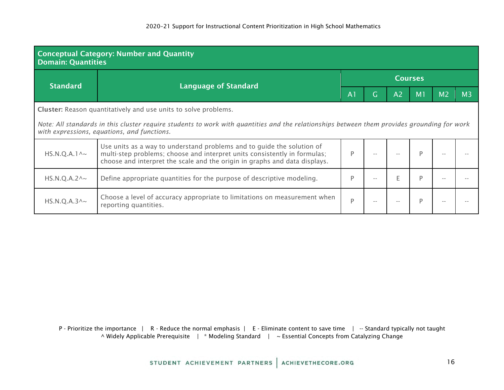| <b>Conceptual Category: Number and Quantity</b><br><b>Domain: Quantities</b>                                                                                                               |                                                                                                                                                                                                                                   |                |                |                |                |                |                |  |  |  |  |
|--------------------------------------------------------------------------------------------------------------------------------------------------------------------------------------------|-----------------------------------------------------------------------------------------------------------------------------------------------------------------------------------------------------------------------------------|----------------|----------------|----------------|----------------|----------------|----------------|--|--|--|--|
| <b>Standard</b>                                                                                                                                                                            | <b>Language of Standard</b>                                                                                                                                                                                                       | <b>Courses</b> |                |                |                |                |                |  |  |  |  |
|                                                                                                                                                                                            |                                                                                                                                                                                                                                   | A <sub>1</sub> | $\overline{G}$ | A <sub>2</sub> | M <sub>1</sub> | M <sub>2</sub> | M <sub>3</sub> |  |  |  |  |
| Cluster: Reason quantitatively and use units to solve problems.                                                                                                                            |                                                                                                                                                                                                                                   |                |                |                |                |                |                |  |  |  |  |
| Note: All standards in this cluster require students to work with quantities and the relationships between them provides grounding for work<br>with expressions, equations, and functions. |                                                                                                                                                                                                                                   |                |                |                |                |                |                |  |  |  |  |
| $HS.N.Q.A.1^{\wedge_{\sim}}$                                                                                                                                                               | Use units as a way to understand problems and to guide the solution of<br>multi-step problems; choose and interpret units consistently in formulas;<br>choose and interpret the scale and the origin in graphs and data displays. | P              |                |                | P              |                |                |  |  |  |  |
| $HS.N.Q.A.2^{\wedge_{\sim}}$                                                                                                                                                               | Define appropriate quantities for the purpose of descriptive modeling.                                                                                                                                                            | P              |                | F              | P              |                |                |  |  |  |  |
| $HS.N.Q.A.3^{\wedge_{\sim}}$                                                                                                                                                               | Choose a level of accuracy appropriate to limitations on measurement when<br>reporting quantities.                                                                                                                                | P              |                |                | P              |                |                |  |  |  |  |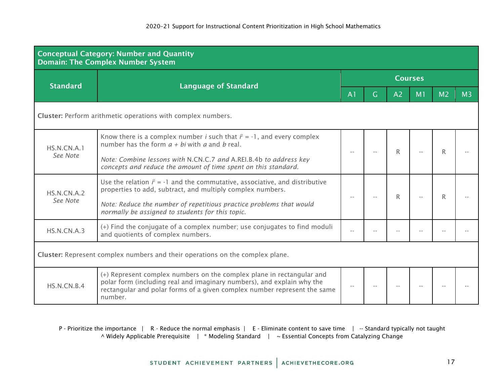| <b>Conceptual Category: Number and Quantity</b><br><b>Domain: The Complex Number System</b> |                                                                                                                                                                                                                                        |                |    |                |                |                |                |  |  |  |
|---------------------------------------------------------------------------------------------|----------------------------------------------------------------------------------------------------------------------------------------------------------------------------------------------------------------------------------------|----------------|----|----------------|----------------|----------------|----------------|--|--|--|
|                                                                                             |                                                                                                                                                                                                                                        | <b>Courses</b> |    |                |                |                |                |  |  |  |
| <b>Standard</b>                                                                             | <b>Language of Standard</b>                                                                                                                                                                                                            | A <sub>1</sub> | G. | A <sub>2</sub> | M <sub>1</sub> | M <sub>2</sub> | M <sub>3</sub> |  |  |  |
| Cluster: Perform arithmetic operations with complex numbers.                                |                                                                                                                                                                                                                                        |                |    |                |                |                |                |  |  |  |
| HS.N.CN.A.1                                                                                 | Know there is a complex number <i>i</i> such that $i^2 = -1$ , and every complex<br>number has the form $a + bi$ with a and b real.                                                                                                    |                |    | R              |                |                |                |  |  |  |
| See Note                                                                                    | Note: Combine lessons with N.CN.C.7 and A.REI.B.4b to address key<br>concepts and reduce the amount of time spent on this standard.                                                                                                    |                |    |                |                |                |                |  |  |  |
| HS.N.CN.A.2                                                                                 | Use the relation $i^2 = -1$ and the commutative, associative, and distributive<br>properties to add, subtract, and multiply complex numbers.                                                                                           |                |    | R              |                |                |                |  |  |  |
| See Note                                                                                    | Note: Reduce the number of repetitious practice problems that would<br>normally be assigned to students for this topic.                                                                                                                |                |    |                |                |                |                |  |  |  |
| HS.N.CN.A.3                                                                                 | (+) Find the conjugate of a complex number; use conjugates to find moduli<br>and quotients of complex numbers.                                                                                                                         |                |    |                |                |                |                |  |  |  |
| Cluster: Represent complex numbers and their operations on the complex plane.               |                                                                                                                                                                                                                                        |                |    |                |                |                |                |  |  |  |
| HS.N.CN.B.4                                                                                 | (+) Represent complex numbers on the complex plane in rectangular and<br>polar form (including real and imaginary numbers), and explain why the<br>rectangular and polar forms of a given complex number represent the same<br>number. |                |    |                |                |                |                |  |  |  |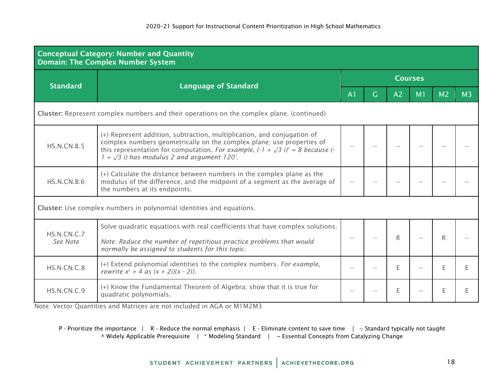| <b>Conceptual Category: Number and Quantity</b><br><b>Domain: The Complex Number System</b> |                                                                                                                                                                                                                                                                                                  |                |       |    |                |                |                |  |  |  |
|---------------------------------------------------------------------------------------------|--------------------------------------------------------------------------------------------------------------------------------------------------------------------------------------------------------------------------------------------------------------------------------------------------|----------------|-------|----|----------------|----------------|----------------|--|--|--|
| <b>Standard</b>                                                                             |                                                                                                                                                                                                                                                                                                  | <b>Courses</b> |       |    |                |                |                |  |  |  |
|                                                                                             | <b>Language of Standard</b>                                                                                                                                                                                                                                                                      | A <sub>1</sub> | G.    | A2 | M <sub>1</sub> | M <sub>2</sub> | M <sub>3</sub> |  |  |  |
| Cluster: Represent complex numbers and their operations on the complex plane. (continued)   |                                                                                                                                                                                                                                                                                                  |                |       |    |                |                |                |  |  |  |
| <b>HS.N.CN.B.5</b>                                                                          | (+) Represent addition, subtraction, multiplication, and conjugation of<br>complex numbers geometrically on the complex plane; use properties of<br>this representation for computation. For example, $(-1 + \sqrt{3} i)^3 = 8$ because (-<br>$1 + \sqrt{3}$ i) has modulus 2 and argument 120°. |                | $- -$ |    |                |                |                |  |  |  |
| HS.N.CN.B.6                                                                                 | (+) Calculate the distance between numbers in the complex plane as the<br>modulus of the difference, and the midpoint of a segment as the average of<br>the numbers at its endpoints.                                                                                                            |                |       |    |                |                |                |  |  |  |
|                                                                                             | Cluster: Use complex numbers in polynomial identities and equations.                                                                                                                                                                                                                             |                |       |    |                |                |                |  |  |  |
| HS.N.CN.C.7<br>See Note                                                                     | Solve quadratic equations with real coefficients that have complex solutions.<br>Note: Reduce the number of repetitious practice problems that would<br>normally be assigned to students for this topic.                                                                                         |                |       | R  |                | R              |                |  |  |  |
| HS.N.CN.C.8                                                                                 | (+) Extend polynomial identities to the complex numbers. For example,<br>rewrite $x^2 + 4$ as $(x + 2i)(x - 2i)$ .                                                                                                                                                                               | $-$            |       | F  |                | F.             |                |  |  |  |
| HS.N.CN.C.9                                                                                 | (+) Know the Fundamental Theorem of Algebra; show that it is true for<br>quadratic polynomials.                                                                                                                                                                                                  | $-$            | $-$   | E  |                | E              |                |  |  |  |

Note: Vector Quantities and Matrices are not included in AGA or M1M2M3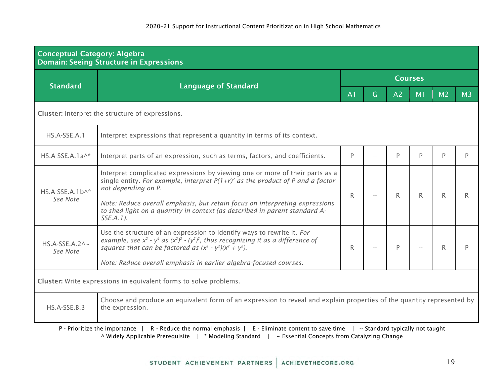| <b>Conceptual Category: Algebra</b><br><b>Domain: Seeing Structure in Expressions</b>                                                                                                         |                                                                                                                                                                                                                                                                                                                                                                       |                |      |    |    |                |                |  |  |  |  |
|-----------------------------------------------------------------------------------------------------------------------------------------------------------------------------------------------|-----------------------------------------------------------------------------------------------------------------------------------------------------------------------------------------------------------------------------------------------------------------------------------------------------------------------------------------------------------------------|----------------|------|----|----|----------------|----------------|--|--|--|--|
| <b>Standard</b>                                                                                                                                                                               |                                                                                                                                                                                                                                                                                                                                                                       | <b>Courses</b> |      |    |    |                |                |  |  |  |  |
|                                                                                                                                                                                               | <b>Language of Standard</b>                                                                                                                                                                                                                                                                                                                                           | A <sub>1</sub> | G    | A2 | M1 | M <sub>2</sub> | M <sub>3</sub> |  |  |  |  |
| Cluster: Interpret the structure of expressions.                                                                                                                                              |                                                                                                                                                                                                                                                                                                                                                                       |                |      |    |    |                |                |  |  |  |  |
| HS.A-SSE.A.1                                                                                                                                                                                  | Interpret expressions that represent a quantity in terms of its context.                                                                                                                                                                                                                                                                                              |                |      |    |    |                |                |  |  |  |  |
| $HS.A-SSE.A.1a^*$                                                                                                                                                                             | Interpret parts of an expression, such as terms, factors, and coefficients.                                                                                                                                                                                                                                                                                           | P              |      | P  | D  | D              | D              |  |  |  |  |
| $HS.A-SSE.A.1b^*$<br>See Note                                                                                                                                                                 | Interpret complicated expressions by viewing one or more of their parts as a<br>single entity. For example, interpret $P(1+r)^2$ as the product of P and a factor<br>not depending on P.<br>Note: Reduce overall emphasis, but retain focus on interpreting expressions<br>to shed light on a quantity in context (as described in parent standard A-<br>$SSE.A.1$ ). | $\mathsf{R}$   | $ -$ | R  | R. | R              | R              |  |  |  |  |
| $HS.A-SSE.A.2^{\wedge_{\sim}}$<br>See Note                                                                                                                                                    | Use the structure of an expression to identify ways to rewrite it. For<br>example, see $x^2$ - $y^4$ as $(x^2)^2$ - $(y^2)^2$ , thus recognizing it as a difference of<br>squares that can be factored as $(x^2 - y^2)(x^2 + y^2)$ .<br>Note: Reduce overall emphasis in earlier algebra-focused courses.                                                             | R              |      | P  |    | R              |                |  |  |  |  |
|                                                                                                                                                                                               | Cluster: Write expressions in equivalent forms to solve problems.                                                                                                                                                                                                                                                                                                     |                |      |    |    |                |                |  |  |  |  |
| Choose and produce an equivalent form of an expression to reveal and explain properties of the quantity represented by<br>HS.A-SSE.B.3<br>the expression.<br>-- Standard typically not taught |                                                                                                                                                                                                                                                                                                                                                                       |                |      |    |    |                |                |  |  |  |  |

^ Widely Applicable Prerequisite | \* Modeling Standard | ~ Essential Concepts from Catalyzing Change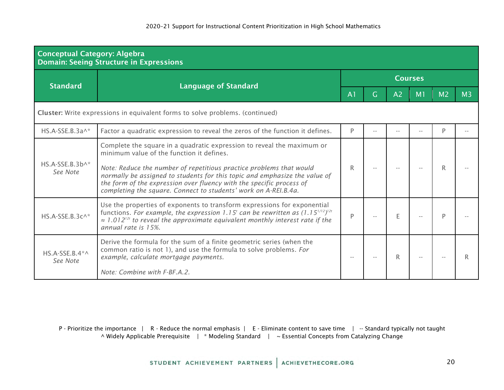| <b>Conceptual Category: Algebra</b><br><b>Domain: Seeing Structure in Expressions</b> |                                                                                                                                                                                                                                                                                                                                                                                                                     |                |   |                |                |                |                |  |  |  |
|---------------------------------------------------------------------------------------|---------------------------------------------------------------------------------------------------------------------------------------------------------------------------------------------------------------------------------------------------------------------------------------------------------------------------------------------------------------------------------------------------------------------|----------------|---|----------------|----------------|----------------|----------------|--|--|--|
| <b>Standard</b>                                                                       |                                                                                                                                                                                                                                                                                                                                                                                                                     | <b>Courses</b> |   |                |                |                |                |  |  |  |
|                                                                                       | <b>Language of Standard</b>                                                                                                                                                                                                                                                                                                                                                                                         | A <sub>1</sub> | G | A <sub>2</sub> | M <sub>1</sub> | M <sub>2</sub> | M <sub>3</sub> |  |  |  |
| Cluster: Write expressions in equivalent forms to solve problems. (continued)         |                                                                                                                                                                                                                                                                                                                                                                                                                     |                |   |                |                |                |                |  |  |  |
| HS.A-SSE.B.3a^*                                                                       | Factor a quadratic expression to reveal the zeros of the function it defines.                                                                                                                                                                                                                                                                                                                                       | P              |   |                |                | D              |                |  |  |  |
| $HS.A-SSE.B.3b^*$<br>See Note                                                         | Complete the square in a quadratic expression to reveal the maximum or<br>minimum value of the function it defines.<br>Note: Reduce the number of repetitious practice problems that would<br>normally be assigned to students for this topic and emphasize the value of<br>the form of the expression over fluency with the specific process of<br>completing the square. Connect to students' work on A-REI.B.4a. | R              |   |                |                |                |                |  |  |  |
| HS.A-SSE.B.3c^*                                                                       | Use the properties of exponents to transform expressions for exponential<br>functions. For example, the expression 1.15 <sup>t</sup> can be rewritten as $(1.15^{1/12})^{12t}$<br>$\approx 1.012$ <sup>12t</sup> to reveal the approximate equivalent monthly interest rate if the<br>annual rate is 15%.                                                                                                           | P              |   | E              |                |                |                |  |  |  |
| $HS.A-SSE.B.4^*$<br>See Note                                                          | Derive the formula for the sum of a finite geometric series (when the<br>common ratio is not 1), and use the formula to solve problems. For<br>example, calculate mortgage payments.<br>Note: Combine with F-BF.A.2.                                                                                                                                                                                                |                |   | R              |                |                |                |  |  |  |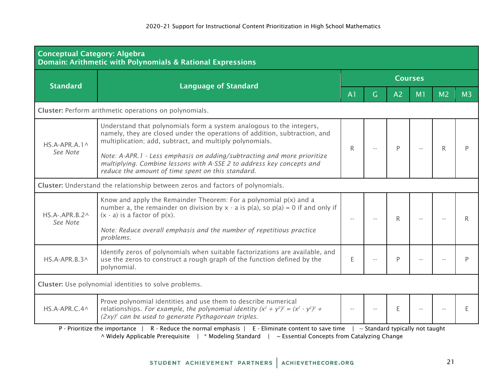| <b>Conceptual Category: Algebra</b><br>Domain: Arithmetic with Polynomials & Rational Expressions |                                                                                                                                                                                                                                                                                           |                |   |                |                |                |                |  |  |  |  |
|---------------------------------------------------------------------------------------------------|-------------------------------------------------------------------------------------------------------------------------------------------------------------------------------------------------------------------------------------------------------------------------------------------|----------------|---|----------------|----------------|----------------|----------------|--|--|--|--|
| <b>Standard</b>                                                                                   |                                                                                                                                                                                                                                                                                           | <b>Courses</b> |   |                |                |                |                |  |  |  |  |
|                                                                                                   | <b>Language of Standard</b>                                                                                                                                                                                                                                                               | A <sub>1</sub> | G | A <sub>2</sub> | M <sub>1</sub> | M <sub>2</sub> | M <sub>3</sub> |  |  |  |  |
|                                                                                                   | Cluster: Perform arithmetic operations on polynomials.                                                                                                                                                                                                                                    |                |   |                |                |                |                |  |  |  |  |
| $HS.A-APR.A.1^{\wedge}$<br>See Note                                                               | Understand that polynomials form a system analogous to the integers,<br>namely, they are closed under the operations of addition, subtraction, and<br>multiplication; add, subtract, and multiply polynomials.<br>Note: A-APR.1 - Less emphasis on adding/subtracting and more prioritize | R              |   | Þ              |                |                |                |  |  |  |  |
|                                                                                                   | multiplying. Combine lessons with A-SSE 2 to address key concepts and<br>reduce the amount of time spent on this standard.                                                                                                                                                                |                |   |                |                |                |                |  |  |  |  |
|                                                                                                   | Cluster: Understand the relationship between zeros and factors of polynomials.                                                                                                                                                                                                            |                |   |                |                |                |                |  |  |  |  |
| $HS.A-.APR.B.2^{\wedge}$<br>See Note                                                              | Know and apply the Remainder Theorem: For a polynomial $p(x)$ and a<br>number a, the remainder on division by x - a is $p(a)$ , so $p(a) = 0$ if and only if<br>$(x - a)$ is a factor of $p(x)$ .                                                                                         |                |   | R              |                |                |                |  |  |  |  |
|                                                                                                   | Note: Reduce overall emphasis and the number of repetitious practice<br>problems.                                                                                                                                                                                                         |                |   |                |                |                |                |  |  |  |  |
| HS.A-APR.B.3^                                                                                     | Identify zeros of polynomials when suitable factorizations are available, and<br>use the zeros to construct a rough graph of the function defined by the<br>polynomial.                                                                                                                   | E              |   | P              |                |                |                |  |  |  |  |
|                                                                                                   | Cluster: Use polynomial identities to solve problems.                                                                                                                                                                                                                                     |                |   |                |                |                |                |  |  |  |  |
| HS.A-APR.C.4^                                                                                     | Prove polynomial identities and use them to describe numerical<br>relationships. For example, the polynomial identity $(x^2 + y^2)^2 = (x^2 - y^2)^2 +$<br>$(2xy)^2$ can be used to generate Pythagorean triples.                                                                         | $-$            |   | E              |                |                |                |  |  |  |  |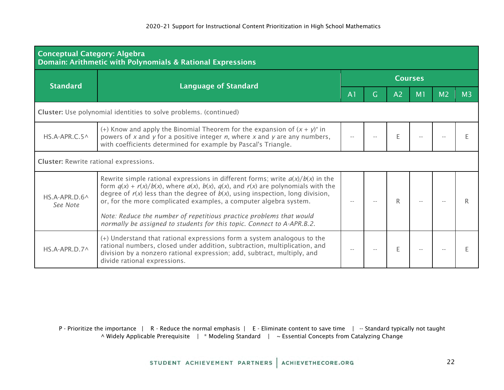| <b>Conceptual Category: Algebra</b><br>Domain: Arithmetic with Polynomials & Rational Expressions |                                                                                                                                                                                                                                                                                                                                               |                |   |                |                |                |    |  |  |  |
|---------------------------------------------------------------------------------------------------|-----------------------------------------------------------------------------------------------------------------------------------------------------------------------------------------------------------------------------------------------------------------------------------------------------------------------------------------------|----------------|---|----------------|----------------|----------------|----|--|--|--|
| <b>Standard</b>                                                                                   |                                                                                                                                                                                                                                                                                                                                               | <b>Courses</b> |   |                |                |                |    |  |  |  |
|                                                                                                   | <b>Language of Standard</b>                                                                                                                                                                                                                                                                                                                   | A <sub>1</sub> | G | A <sub>2</sub> | M <sub>1</sub> | M <sub>2</sub> | M3 |  |  |  |
| Cluster: Use polynomial identities to solve problems. (continued)                                 |                                                                                                                                                                                                                                                                                                                                               |                |   |                |                |                |    |  |  |  |
| $HS.A-APR.C.5^{\wedge}$                                                                           | (+) Know and apply the Binomial Theorem for the expansion of $(x + y)^n$ in<br>powers of x and y for a positive integer $n$ , where x and y are any numbers,<br>with coefficients determined for example by Pascal's Triangle.                                                                                                                |                |   | F              |                |                |    |  |  |  |
| <b>Cluster:</b> Rewrite rational expressions.                                                     |                                                                                                                                                                                                                                                                                                                                               |                |   |                |                |                |    |  |  |  |
| $HS.A-APR.D.6^{\wedge}$<br>See Note                                                               | Rewrite simple rational expressions in different forms; write $a(x)/b(x)$ in the<br>form $q(x) + r(x)/b(x)$ , where $q(x)$ , $b(x)$ , $q(x)$ , and $r(x)$ are polynomials with the<br>degree of $r(x)$ less than the degree of $b(x)$ , using inspection, long division,<br>or, for the more complicated examples, a computer algebra system. |                |   |                |                |                |    |  |  |  |
|                                                                                                   | Note: Reduce the number of repetitious practice problems that would<br>normally be assigned to students for this topic. Connect to A-APR.B.2.                                                                                                                                                                                                 |                |   |                |                |                |    |  |  |  |
| HS.A-APR.D.7^                                                                                     | (+) Understand that rational expressions form a system analogous to the<br>rational numbers, closed under addition, subtraction, multiplication, and<br>division by a nonzero rational expression; add, subtract, multiply, and<br>divide rational expressions.                                                                               |                |   | F.             |                |                |    |  |  |  |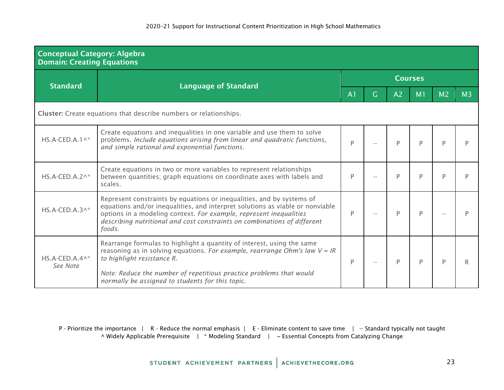| <b>Conceptual Category: Algebra</b><br><b>Domain: Creating Equations</b> |                                                                                                                                                                                                                                                                                                                    |                |    |                |    |                |    |  |  |  |
|--------------------------------------------------------------------------|--------------------------------------------------------------------------------------------------------------------------------------------------------------------------------------------------------------------------------------------------------------------------------------------------------------------|----------------|----|----------------|----|----------------|----|--|--|--|
| <b>Standard</b>                                                          | <b>Language of Standard</b>                                                                                                                                                                                                                                                                                        | <b>Courses</b> |    |                |    |                |    |  |  |  |
|                                                                          |                                                                                                                                                                                                                                                                                                                    | A <sub>1</sub> | G. | A <sub>2</sub> | M1 | M <sub>2</sub> | M3 |  |  |  |
| <b>Cluster:</b> Create equations that describe numbers or relationships. |                                                                                                                                                                                                                                                                                                                    |                |    |                |    |                |    |  |  |  |
| $HS.A-CED.A.1^*$                                                         | Create equations and inequalities in one variable and use them to solve<br>problems. Include equations arising from linear and quadratic functions,<br>and simple rational and exponential functions.                                                                                                              | P              |    | P              | D  | D              |    |  |  |  |
| $HS.A-CED.A.2^*$                                                         | Create equations in two or more variables to represent relationships<br>between quantities; graph equations on coordinate axes with labels and<br>scales.                                                                                                                                                          | Þ              |    | P              | D  |                |    |  |  |  |
| $HS.A-CED.A.3^*$                                                         | Represent constraints by equations or inequalities, and by systems of<br>equations and/or inequalities, and interpret solutions as viable or nonviable<br>options in a modeling context. For example, represent inequalities<br>describing nutritional and cost constraints on combinations of different<br>foods. | P              |    | P              | D  |                |    |  |  |  |
| $HS.A-CED.A.4^*$<br>See Note                                             | Rearrange formulas to highlight a quantity of interest, using the same<br>reasoning as in solving equations. For example, rearrange Ohm's law $V = IR$<br>to highlight resistance R.                                                                                                                               | P              |    | P              | P  |                |    |  |  |  |
|                                                                          | Note: Reduce the number of repetitious practice problems that would<br>normally be assigned to students for this topic.                                                                                                                                                                                            |                |    |                |    |                |    |  |  |  |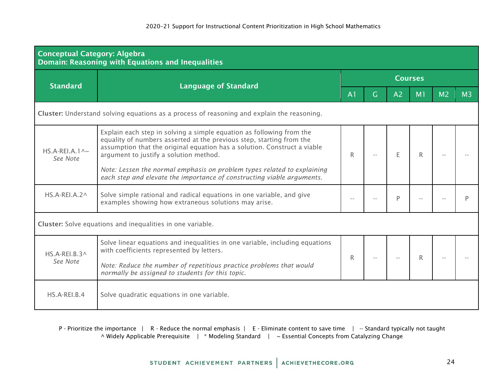| <b>Conceptual Category: Algebra</b><br><b>Domain: Reasoning with Equations and Inequalities</b> |                                                                                                                                                                                                                                                                    |                |   |                |                |                |                |  |  |  |
|-------------------------------------------------------------------------------------------------|--------------------------------------------------------------------------------------------------------------------------------------------------------------------------------------------------------------------------------------------------------------------|----------------|---|----------------|----------------|----------------|----------------|--|--|--|
| <b>Standard</b>                                                                                 | <b>Language of Standard</b>                                                                                                                                                                                                                                        | <b>Courses</b> |   |                |                |                |                |  |  |  |
|                                                                                                 |                                                                                                                                                                                                                                                                    | A <sub>1</sub> | G | A <sub>2</sub> | M <sub>1</sub> | M <sub>2</sub> | M <sub>3</sub> |  |  |  |
| Cluster: Understand solving equations as a process of reasoning and explain the reasoning.      |                                                                                                                                                                                                                                                                    |                |   |                |                |                |                |  |  |  |
| HS.A-REI.A.1 $\sim$<br>See Note                                                                 | Explain each step in solving a simple equation as following from the<br>equality of numbers asserted at the previous step, starting from the<br>assumption that the original equation has a solution. Construct a viable<br>argument to justify a solution method. | R              |   |                | R              |                |                |  |  |  |
|                                                                                                 | Note: Lessen the normal emphasis on problem types related to explaining<br>each step and elevate the importance of constructing viable arguments.                                                                                                                  |                |   |                |                |                |                |  |  |  |
| $HS.A-REI.A.2^{\wedge}$                                                                         | Solve simple rational and radical equations in one variable, and give<br>examples showing how extraneous solutions may arise.                                                                                                                                      |                |   | D              |                |                |                |  |  |  |
|                                                                                                 | Cluster: Solve equations and inequalities in one variable.                                                                                                                                                                                                         |                |   |                |                |                |                |  |  |  |
| $HS.A-REI.B.3^{\wedge}$                                                                         | Solve linear equations and inequalities in one variable, including equations<br>with coefficients represented by letters.                                                                                                                                          | R              |   |                | R.             |                |                |  |  |  |
| See Note                                                                                        | Note: Reduce the number of repetitious practice problems that would<br>normally be assigned to students for this topic.                                                                                                                                            |                |   |                |                |                |                |  |  |  |
| HS.A-REI.B.4                                                                                    | Solve quadratic equations in one variable.                                                                                                                                                                                                                         |                |   |                |                |                |                |  |  |  |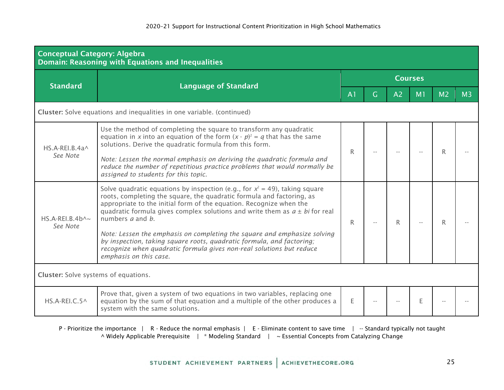| <b>Conceptual Category: Algebra</b><br>Domain: Reasoning with Equations and Inequalities |                                                                                                                                                                                                                                                                                                                                                                                                                                                                                                                                                                                                             |                |    |                |                |                |                |  |  |  |
|------------------------------------------------------------------------------------------|-------------------------------------------------------------------------------------------------------------------------------------------------------------------------------------------------------------------------------------------------------------------------------------------------------------------------------------------------------------------------------------------------------------------------------------------------------------------------------------------------------------------------------------------------------------------------------------------------------------|----------------|----|----------------|----------------|----------------|----------------|--|--|--|
| <b>Standard</b>                                                                          | <b>Language of Standard</b>                                                                                                                                                                                                                                                                                                                                                                                                                                                                                                                                                                                 | <b>Courses</b> |    |                |                |                |                |  |  |  |
|                                                                                          |                                                                                                                                                                                                                                                                                                                                                                                                                                                                                                                                                                                                             | A <sub>1</sub> | G. | A <sub>2</sub> | M <sub>1</sub> | M <sub>2</sub> | M <sub>3</sub> |  |  |  |
|                                                                                          | Cluster: Solve equations and inequalities in one variable. (continued)                                                                                                                                                                                                                                                                                                                                                                                                                                                                                                                                      |                |    |                |                |                |                |  |  |  |
| $HS.A-REI.B.4a^$<br>See Note                                                             | Use the method of completing the square to transform any quadratic<br>equation in x into an equation of the form $(x - p)^2 = q$ that has the same<br>solutions. Derive the quadratic formula from this form.<br>Note: Lessen the normal emphasis on deriving the quadratic formula and<br>reduce the number of repetitious practice problems that would normally be<br>assigned to students for this topic.                                                                                                                                                                                                | R              |    |                |                |                |                |  |  |  |
| $HS.A-REI.B.4b\sim$<br>See Note                                                          | Solve quadratic equations by inspection (e.g., for $x^2 = 49$ ), taking square<br>roots, completing the square, the quadratic formula and factoring, as<br>appropriate to the initial form of the equation. Recognize when the<br>quadratic formula gives complex solutions and write them as $a \pm bi$ for real<br>numbers <i>a</i> and <i>b</i> .<br>Note: Lessen the emphasis on completing the square and emphasize solving<br>by inspection, taking square roots, quadratic formula, and factoring;<br>recognize when quadratic formula gives non-real solutions but reduce<br>emphasis on this case. | R              |    | R.             |                | R.             |                |  |  |  |
| <b>Cluster:</b> Solve systems of equations.                                              |                                                                                                                                                                                                                                                                                                                                                                                                                                                                                                                                                                                                             |                |    |                |                |                |                |  |  |  |
| HS.A-REI.C.5^                                                                            | Prove that, given a system of two equations in two variables, replacing one<br>equation by the sum of that equation and a multiple of the other produces a<br>system with the same solutions.                                                                                                                                                                                                                                                                                                                                                                                                               | F              |    |                | F              |                |                |  |  |  |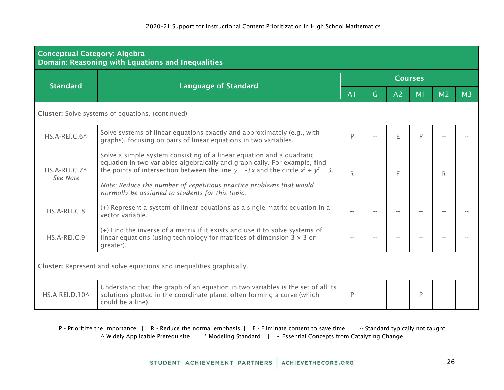| <b>Conceptual Category: Algebra</b> | <b>Domain: Reasoning with Equations and Inequalities</b>                                                                                                                                                                                                                                                                                                                 |                |    |                |                |                |                |  |  |  |
|-------------------------------------|--------------------------------------------------------------------------------------------------------------------------------------------------------------------------------------------------------------------------------------------------------------------------------------------------------------------------------------------------------------------------|----------------|----|----------------|----------------|----------------|----------------|--|--|--|
| <b>Standard</b>                     | <b>Language of Standard</b>                                                                                                                                                                                                                                                                                                                                              | <b>Courses</b> |    |                |                |                |                |  |  |  |
|                                     |                                                                                                                                                                                                                                                                                                                                                                          | A <sub>1</sub> | G. | A <sub>2</sub> | M <sub>1</sub> | M <sub>2</sub> | M <sub>3</sub> |  |  |  |
|                                     | <b>Cluster:</b> Solve systems of equations. (continued)                                                                                                                                                                                                                                                                                                                  |                |    |                |                |                |                |  |  |  |
| HS.A-REI.C.6^                       | Solve systems of linear equations exactly and approximately (e.g., with<br>graphs), focusing on pairs of linear equations in two variables.                                                                                                                                                                                                                              | P              |    | E              | P              |                |                |  |  |  |
| HS.A-REI.C.7^<br>See Note           | Solve a simple system consisting of a linear equation and a quadratic<br>equation in two variables algebraically and graphically. For example, find<br>the points of intersection between the line $y = -3x$ and the circle $x^2 + y^2 = 3$ .<br>Note: Reduce the number of repetitious practice problems that would<br>normally be assigned to students for this topic. | R              |    | E              |                | R              |                |  |  |  |
| HS.A-REI.C.8                        | (+) Represent a system of linear equations as a single matrix equation in a<br>vector variable.                                                                                                                                                                                                                                                                          | $\sim$ $\sim$  |    |                |                |                |                |  |  |  |
| HS.A-REI.C.9                        | (+) Find the inverse of a matrix if it exists and use it to solve systems of<br>linear equations (using technology for matrices of dimension $3 \times 3$ or<br>greater).                                                                                                                                                                                                |                |    |                |                |                |                |  |  |  |
|                                     | Cluster: Represent and solve equations and inequalities graphically.                                                                                                                                                                                                                                                                                                     |                |    |                |                |                |                |  |  |  |
| HS.A-REI.D.10^                      | Understand that the graph of an equation in two variables is the set of all its<br>solutions plotted in the coordinate plane, often forming a curve (which<br>could be a line).                                                                                                                                                                                          | P              |    |                | P              |                |                |  |  |  |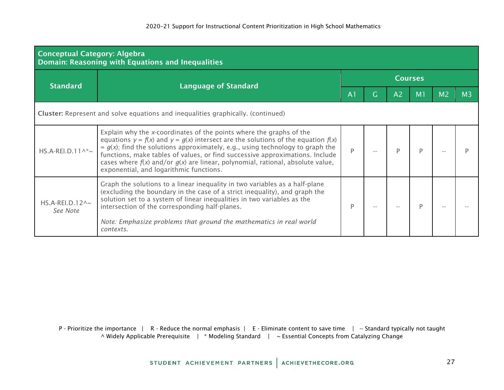| <b>Conceptual Category: Algebra</b><br><b>Domain: Reasoning with Equations and Inequalities</b> |                                                                                                                                                                                                                                                                                                                                                                                                                                                                    |                |   |                |    |                |                |  |  |  |  |
|-------------------------------------------------------------------------------------------------|--------------------------------------------------------------------------------------------------------------------------------------------------------------------------------------------------------------------------------------------------------------------------------------------------------------------------------------------------------------------------------------------------------------------------------------------------------------------|----------------|---|----------------|----|----------------|----------------|--|--|--|--|
|                                                                                                 | <b>Language of Standard</b>                                                                                                                                                                                                                                                                                                                                                                                                                                        | <b>Courses</b> |   |                |    |                |                |  |  |  |  |
| <b>Standard</b>                                                                                 |                                                                                                                                                                                                                                                                                                                                                                                                                                                                    | A <sub>1</sub> | G | A <sub>2</sub> | M1 | M <sub>2</sub> | M <sub>3</sub> |  |  |  |  |
|                                                                                                 | Cluster: Represent and solve equations and inequalities graphically. (continued)                                                                                                                                                                                                                                                                                                                                                                                   |                |   |                |    |                |                |  |  |  |  |
| $HS.A-REI.D.11^* \sim$                                                                          | Explain why the x-coordinates of the points where the graphs of the<br>equations $y = f(x)$ and $y = g(x)$ intersect are the solutions of the equation $f(x)$<br>$= g(x)$ ; find the solutions approximately, e.g., using technology to graph the<br>functions, make tables of values, or find successive approximations. Include<br>cases where $f(x)$ and/or $g(x)$ are linear, polynomial, rational, absolute value,<br>exponential, and logarithmic functions. | P              |   |                |    |                |                |  |  |  |  |
| $HS.A-REI.D.12 \wedge \sim$<br>See Note                                                         | Graph the solutions to a linear inequality in two variables as a half-plane<br>(excluding the boundary in the case of a strict inequality), and graph the<br>solution set to a system of linear inequalities in two variables as the<br>intersection of the corresponding half-planes.<br>Note: Emphasize problems that ground the mathematics in real world<br>contexts.                                                                                          | P              |   |                |    |                |                |  |  |  |  |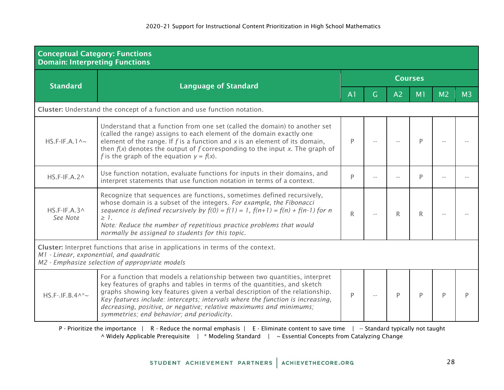| <b>Conceptual Category: Functions</b><br><b>Domain: Interpreting Functions</b> |                                                                                                                                                                                                                                                                                                                                                                                                                                             |                |                |    |    |                |                |  |  |  |
|--------------------------------------------------------------------------------|---------------------------------------------------------------------------------------------------------------------------------------------------------------------------------------------------------------------------------------------------------------------------------------------------------------------------------------------------------------------------------------------------------------------------------------------|----------------|----------------|----|----|----------------|----------------|--|--|--|
| <b>Standard</b>                                                                |                                                                                                                                                                                                                                                                                                                                                                                                                                             | <b>Courses</b> |                |    |    |                |                |  |  |  |
|                                                                                | <b>Language of Standard</b>                                                                                                                                                                                                                                                                                                                                                                                                                 | A <sub>1</sub> | $\overline{G}$ | A2 | M1 | M <sub>2</sub> | M <sub>3</sub> |  |  |  |
|                                                                                | Cluster: Understand the concept of a function and use function notation.                                                                                                                                                                                                                                                                                                                                                                    |                |                |    |    |                |                |  |  |  |
| $HS.F-IF.A.1^{\wedge_{\sim}}$                                                  | Understand that a function from one set (called the domain) to another set<br>(called the range) assigns to each element of the domain exactly one<br>element of the range. If $f$ is a function and $x$ is an element of its domain,<br>then $f(x)$ denotes the output of f corresponding to the input x. The graph of<br>f is the graph of the equation $y = f(x)$ .                                                                      | P              |                |    | D  |                |                |  |  |  |
| $HS.F-IF.A.2^{\wedge}$                                                         | Use function notation, evaluate functions for inputs in their domains, and<br>interpret statements that use function notation in terms of a context.                                                                                                                                                                                                                                                                                        | P              |                |    | P  |                |                |  |  |  |
| $HS.F-IF.A.3^{\wedge}$<br>See Note                                             | Recognize that sequences are functions, sometimes defined recursively,<br>whose domain is a subset of the integers. For example, the Fibonacci<br>sequence is defined recursively by $f(0) = f(1) = 1$ , $f(n+1) = f(n) + f(n-1)$ for n<br>$\geq 1$ .<br>Note: Reduce the number of repetitious practice problems that would<br>normally be assigned to students for this topic.                                                            | $\mathsf{R}$   |                | R  | R  |                |                |  |  |  |
|                                                                                | Cluster: Interpret functions that arise in applications in terms of the context.<br>M1 - Linear, exponential, and quadratic<br>M2 - Emphasize selection of appropriate models                                                                                                                                                                                                                                                               |                |                |    |    |                |                |  |  |  |
| $HS.F-.IF.B.4^*~$                                                              | For a function that models a relationship between two quantities, interpret<br>key features of graphs and tables in terms of the quantities, and sketch<br>graphs showing key features given a verbal description of the relationship.<br>Key features include: intercepts; intervals where the function is increasing,<br>decreasing, positive, or negative; relative maximums and minimums;<br>symmetries; end behavior; and periodicity. | P              |                | P  | Þ  | D              |                |  |  |  |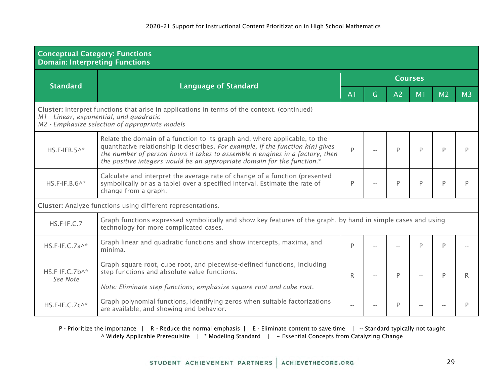| <b>Conceptual Category: Functions</b><br><b>Domain: Interpreting Functions</b>                                                                                                            |                                                                                                                                                                                                                                                                                                                          |                |   |                |                |                |                |  |  |  |
|-------------------------------------------------------------------------------------------------------------------------------------------------------------------------------------------|--------------------------------------------------------------------------------------------------------------------------------------------------------------------------------------------------------------------------------------------------------------------------------------------------------------------------|----------------|---|----------------|----------------|----------------|----------------|--|--|--|
| <b>Standard</b>                                                                                                                                                                           | <b>Language of Standard</b>                                                                                                                                                                                                                                                                                              | <b>Courses</b> |   |                |                |                |                |  |  |  |
|                                                                                                                                                                                           |                                                                                                                                                                                                                                                                                                                          | A <sub>1</sub> | G | A <sub>2</sub> | M <sub>1</sub> | M <sub>2</sub> | M <sub>3</sub> |  |  |  |
| Cluster: Interpret functions that arise in applications in terms of the context. (continued)<br>M1 - Linear, exponential, and quadratic<br>M2 - Emphasize selection of appropriate models |                                                                                                                                                                                                                                                                                                                          |                |   |                |                |                |                |  |  |  |
| $HS.F-IFB.5^*$                                                                                                                                                                            | Relate the domain of a function to its graph and, where applicable, to the<br>quantitative relationship it describes. For example, if the function h(n) gives<br>the number of person-hours it takes to assemble n engines in a factory, then<br>the positive integers would be an appropriate domain for the function.* | $\overline{P}$ |   | P              | P              | P              |                |  |  |  |
| $HS.F-IF.B.6^*$                                                                                                                                                                           | Calculate and interpret the average rate of change of a function (presented<br>symbolically or as a table) over a specified interval. Estimate the rate of<br>change from a graph.                                                                                                                                       | P              |   | P              | D              | D              | D              |  |  |  |
|                                                                                                                                                                                           | <b>Cluster:</b> Analyze functions using different representations.                                                                                                                                                                                                                                                       |                |   |                |                |                |                |  |  |  |
| $HS.F-IF.C.7$                                                                                                                                                                             | Graph functions expressed symbolically and show key features of the graph, by hand in simple cases and using<br>technology for more complicated cases.                                                                                                                                                                   |                |   |                |                |                |                |  |  |  |
| HS.F-IF.C.7a^*                                                                                                                                                                            | Graph linear and quadratic functions and show intercepts, maxima, and<br>minima.                                                                                                                                                                                                                                         | P              |   |                | D              | P              |                |  |  |  |
| $HS.F-IF.C.7b^*$                                                                                                                                                                          | Graph square root, cube root, and piecewise-defined functions, including<br>step functions and absolute value functions.                                                                                                                                                                                                 | R              |   | P              |                | P              | R              |  |  |  |
| See Note                                                                                                                                                                                  | Note: Eliminate step functions; emphasize square root and cube root.                                                                                                                                                                                                                                                     |                |   |                |                |                |                |  |  |  |
| HS.F-IF.C.7c^*                                                                                                                                                                            | Graph polynomial functions, identifying zeros when suitable factorizations<br>are available, and showing end behavior.                                                                                                                                                                                                   |                |   | P              |                |                | P              |  |  |  |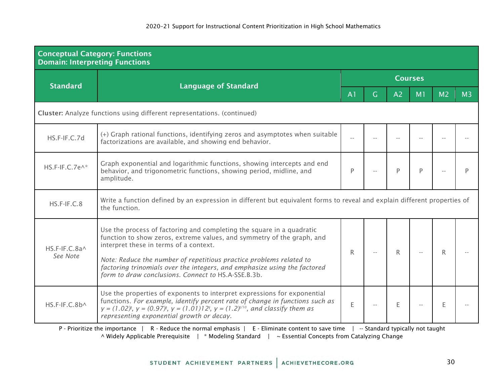| <b>Conceptual Category: Functions</b><br><b>Domain: Interpreting Functions</b> |                                                                                                                                                                                                                                                                                                                                                                                                                 |                |                |                                    |                |                |                |  |  |  |  |
|--------------------------------------------------------------------------------|-----------------------------------------------------------------------------------------------------------------------------------------------------------------------------------------------------------------------------------------------------------------------------------------------------------------------------------------------------------------------------------------------------------------|----------------|----------------|------------------------------------|----------------|----------------|----------------|--|--|--|--|
| <b>Standard</b>                                                                | <b>Language of Standard</b>                                                                                                                                                                                                                                                                                                                                                                                     | <b>Courses</b> |                |                                    |                |                |                |  |  |  |  |
|                                                                                |                                                                                                                                                                                                                                                                                                                                                                                                                 | A <sub>1</sub> | $\overline{G}$ | A <sub>2</sub>                     | M <sub>1</sub> | M <sub>2</sub> | M <sub>3</sub> |  |  |  |  |
|                                                                                | Cluster: Analyze functions using different representations. (continued)                                                                                                                                                                                                                                                                                                                                         |                |                |                                    |                |                |                |  |  |  |  |
| HS.F-IF.C.7d                                                                   | (+) Graph rational functions, identifying zeros and asymptotes when suitable<br>factorizations are available, and showing end behavior.                                                                                                                                                                                                                                                                         |                |                |                                    |                |                |                |  |  |  |  |
| HS.F-IF.C.7e^*                                                                 | Graph exponential and logarithmic functions, showing intercepts and end<br>behavior, and trigonometric functions, showing period, midline, and<br>amplitude.                                                                                                                                                                                                                                                    | P              |                | D                                  | P              |                |                |  |  |  |  |
| HS.F-IF.C.8                                                                    | Write a function defined by an expression in different but equivalent forms to reveal and explain different properties of<br>the function.                                                                                                                                                                                                                                                                      |                |                |                                    |                |                |                |  |  |  |  |
| HS.F-IF.C.8a^<br>See Note                                                      | Use the process of factoring and completing the square in a quadratic<br>function to show zeros, extreme values, and symmetry of the graph, and<br>interpret these in terms of a context.<br>Note: Reduce the number of repetitious practice problems related to<br>factoring trinomials over the integers, and emphasize using the factored<br>form to draw conclusions. Connect to HS.A-SSE.B.3b.             | $\mathsf{R}$   |                | R                                  |                | R              |                |  |  |  |  |
| HS.F-IF.C.8b^                                                                  | Use the properties of exponents to interpret expressions for exponential<br>functions. For example, identify percent rate of change in functions such as<br>$y = (1.02)^t$ , $y = (0.97)^t$ , $y = (1.01)12^t$ , $y = (1.2)^{t/10}$ , and classify them as<br>representing exponential growth or decay.<br>D. Prioritiza the importance L. D. Peduce the normal emphasis L. E. Eliminate content to save time L | E              |                | E<br>Standard tunically not taught |                | E              |                |  |  |  |  |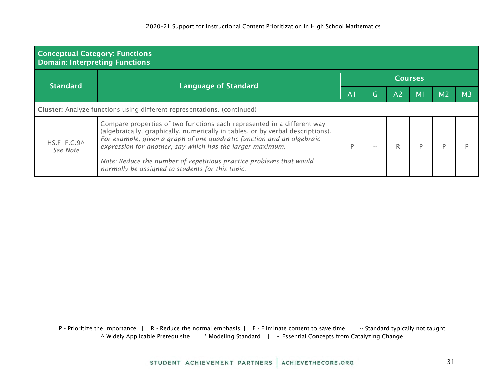| <b>Conceptual Category: Functions</b><br><b>Domain: Interpreting Functions</b> |                                                                                                                                                                                                                                                                                                                                                                                                                             |                |    |                |                |                |                |  |  |  |  |
|--------------------------------------------------------------------------------|-----------------------------------------------------------------------------------------------------------------------------------------------------------------------------------------------------------------------------------------------------------------------------------------------------------------------------------------------------------------------------------------------------------------------------|----------------|----|----------------|----------------|----------------|----------------|--|--|--|--|
| <b>Standard</b>                                                                | <b>Language of Standard</b>                                                                                                                                                                                                                                                                                                                                                                                                 | <b>Courses</b> |    |                |                |                |                |  |  |  |  |
|                                                                                |                                                                                                                                                                                                                                                                                                                                                                                                                             | A <sub>1</sub> | G. | A <sub>2</sub> | M <sub>1</sub> | M <sub>2</sub> | M <sub>3</sub> |  |  |  |  |
| Cluster: Analyze functions using different representations. (continued)        |                                                                                                                                                                                                                                                                                                                                                                                                                             |                |    |                |                |                |                |  |  |  |  |
| HS.F-IF.C.9^<br>See Note                                                       | Compare properties of two functions each represented in a different way<br>(algebraically, graphically, numerically in tables, or by verbal descriptions).<br>For example, given a graph of one quadratic function and an algebraic<br>expression for another, say which has the larger maximum.<br>Note: Reduce the number of repetitious practice problems that would<br>normally be assigned to students for this topic. | P              |    |                |                |                |                |  |  |  |  |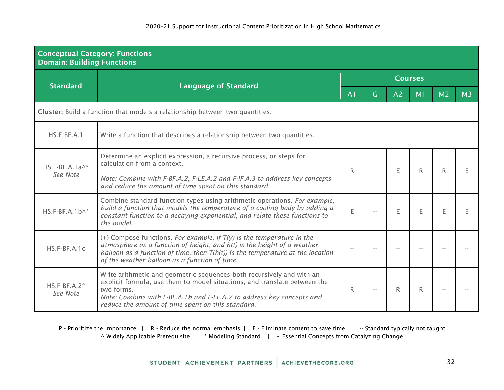| <b>Conceptual Category: Functions</b><br><b>Domain: Building Functions</b> |                                                                                                                                                                                                                                                                                                |                |   |                |                |                |                |  |  |  |
|----------------------------------------------------------------------------|------------------------------------------------------------------------------------------------------------------------------------------------------------------------------------------------------------------------------------------------------------------------------------------------|----------------|---|----------------|----------------|----------------|----------------|--|--|--|
| <b>Standard</b>                                                            |                                                                                                                                                                                                                                                                                                | <b>Courses</b> |   |                |                |                |                |  |  |  |
|                                                                            | <b>Language of Standard</b>                                                                                                                                                                                                                                                                    | A <sub>1</sub> | G | A <sub>2</sub> | M <sub>1</sub> | M <sub>2</sub> | M <sub>3</sub> |  |  |  |
|                                                                            | Cluster: Build a function that models a relationship between two quantities.                                                                                                                                                                                                                   |                |   |                |                |                |                |  |  |  |
| $HS.F-BF.A.1$                                                              | Write a function that describes a relationship between two quantities.                                                                                                                                                                                                                         |                |   |                |                |                |                |  |  |  |
| $HS.F-BF.A.1a^*$                                                           | Determine an explicit expression, a recursive process, or steps for<br>calculation from a context.                                                                                                                                                                                             | R              |   | E              | R.             | R              | F              |  |  |  |
| See Note                                                                   | Note: Combine with F-BF.A.2, F-LE.A.2 and F-IF.A.3 to address key concepts<br>and reduce the amount of time spent on this standard.                                                                                                                                                            |                |   |                |                |                |                |  |  |  |
| $HS.F-BF.A.1b^*$                                                           | Combine standard function types using arithmetic operations. For example,<br>build a function that models the temperature of a cooling body by adding a<br>constant function to a decaying exponential, and relate these functions to<br>the model.                                            | E              |   | F              | F              | F              |                |  |  |  |
| $HS.F-BF.A.1c$                                                             | (+) Compose functions. For example, if $T(y)$ is the temperature in the<br>atmosphere as a function of height, and $h(t)$ is the height of a weather<br>balloon as a function of time, then $T(h(t))$ is the temperature at the location<br>of the weather balloon as a function of time.      |                |   |                |                |                |                |  |  |  |
| $HS.F-BF.A.2*$<br>See Note                                                 | Write arithmetic and geometric sequences both recursively and with an<br>explicit formula, use them to model situations, and translate between the<br>two forms.<br>Note: Combine with F-BF.A.1b and F-LE.A.2 to address key concepts and<br>reduce the amount of time spent on this standard. | R              |   | R              | R              |                |                |  |  |  |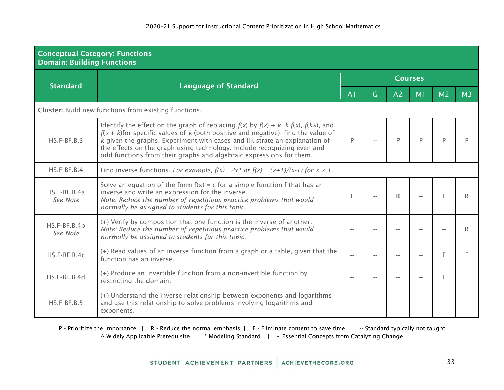| <b>Conceptual Category: Functions</b><br><b>Domain: Building Functions</b> |                                                                                                                                                                                                                                                                                                                                                                                                                      |                |     |                |                |                |                |  |  |  |
|----------------------------------------------------------------------------|----------------------------------------------------------------------------------------------------------------------------------------------------------------------------------------------------------------------------------------------------------------------------------------------------------------------------------------------------------------------------------------------------------------------|----------------|-----|----------------|----------------|----------------|----------------|--|--|--|
| <b>Standard</b>                                                            |                                                                                                                                                                                                                                                                                                                                                                                                                      | <b>Courses</b> |     |                |                |                |                |  |  |  |
|                                                                            | <b>Language of Standard</b>                                                                                                                                                                                                                                                                                                                                                                                          | A <sub>1</sub> | G   | A <sub>2</sub> | M <sub>1</sub> | M <sub>2</sub> | M <sub>3</sub> |  |  |  |
|                                                                            | <b>Cluster:</b> Build new functions from existing functions.                                                                                                                                                                                                                                                                                                                                                         |                |     |                |                |                |                |  |  |  |
| $HS.F-BF.B.3$                                                              | Identify the effect on the graph of replacing $f(x)$ by $f(x) + k$ , $k f(x)$ , $f(kx)$ , and<br>$f(x + k)$ for specific values of k (both positive and negative); find the value of<br>k given the graphs. Experiment with cases and illustrate an explanation of<br>the effects on the graph using technology. Include recognizing even and<br>odd functions from their graphs and algebraic expressions for them. | P              |     | P              | P              | D              |                |  |  |  |
| $HS.F-BF.B.4$                                                              | Find inverse functions. For example, $f(x) = 2x^3$ or $f(x) = (x+1)/(x-1)$ for $x \ne 1$ .                                                                                                                                                                                                                                                                                                                           |                |     |                |                |                |                |  |  |  |
| HS.F-BF.B.4a<br>See Note                                                   | Solve an equation of the form $f(x) = c$ for a simple function f that has an<br>inverse and write an expression for the inverse.<br>Note: Reduce the number of repetitious practice problems that would<br>normally be assigned to students for this topic.                                                                                                                                                          | Ε              | $-$ | R.             |                | E              | R              |  |  |  |
| HS.F-BF.B.4b<br>See Note                                                   | (+) Verify by composition that one function is the inverse of another.<br>Note: Reduce the number of repetitious practice problems that would<br>normally be assigned to students for this topic.                                                                                                                                                                                                                    |                |     |                |                |                | R              |  |  |  |
| HS.F-BF.B.4c                                                               | (+) Read values of an inverse function from a graph or a table, given that the<br>function has an inverse.                                                                                                                                                                                                                                                                                                           |                |     |                |                | E              | E              |  |  |  |
| HS.F-BF.B.4d                                                               | (+) Produce an invertible function from a non-invertible function by<br>restricting the domain.                                                                                                                                                                                                                                                                                                                      | $- -$          |     |                |                | E              | E              |  |  |  |
| $HS.F-BF.B.5$                                                              | (+) Understand the inverse relationship between exponents and logarithms<br>and use this relationship to solve problems involving logarithms and<br>exponents.                                                                                                                                                                                                                                                       | $-$            |     |                |                |                |                |  |  |  |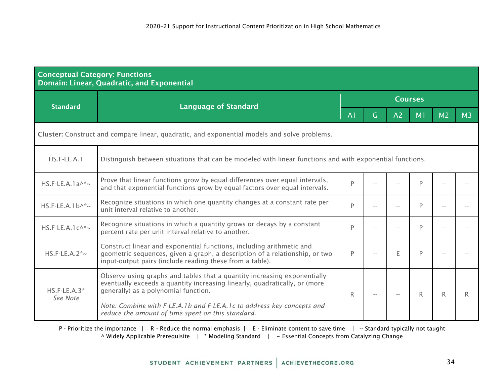| <b>Conceptual Category: Functions</b><br>Domain: Linear, Quadratic, and Exponential                                       |                                                                                                                                                                                                                 |                |    |                |                |                |                |  |  |  |
|---------------------------------------------------------------------------------------------------------------------------|-----------------------------------------------------------------------------------------------------------------------------------------------------------------------------------------------------------------|----------------|----|----------------|----------------|----------------|----------------|--|--|--|
| <b>Standard</b>                                                                                                           | <b>Language of Standard</b>                                                                                                                                                                                     | <b>Courses</b> |    |                |                |                |                |  |  |  |
|                                                                                                                           |                                                                                                                                                                                                                 | A <sub>1</sub> | G. | A <sub>2</sub> | M <sub>1</sub> | M <sub>2</sub> | M <sub>3</sub> |  |  |  |
| Cluster: Construct and compare linear, quadratic, and exponential models and solve problems.                              |                                                                                                                                                                                                                 |                |    |                |                |                |                |  |  |  |
| Distinguish between situations that can be modeled with linear functions and with exponential functions.<br>$HS.F-LE.A.1$ |                                                                                                                                                                                                                 |                |    |                |                |                |                |  |  |  |
| $HS.F-LE.A.1a^*$                                                                                                          | Prove that linear functions grow by equal differences over equal intervals,<br>and that exponential functions grow by equal factors over equal intervals.                                                       | P              |    |                | P              |                |                |  |  |  |
| $HS.F-LE.A.1b^{\wedge *_{\sim}}$                                                                                          | Recognize situations in which one quantity changes at a constant rate per<br>unit interval relative to another.                                                                                                 | P              |    |                | P              |                |                |  |  |  |
| HS.F-LE.A.1 $c^{\wedge *}$                                                                                                | Recognize situations in which a quantity grows or decays by a constant<br>percent rate per unit interval relative to another.                                                                                   | P              |    |                | P              |                |                |  |  |  |
| HS.F-LE.A.2 $*$ ~                                                                                                         | Construct linear and exponential functions, including arithmetic and<br>geometric sequences, given a graph, a description of a relationship, or two<br>input-output pairs (include reading these from a table). | P              |    | F              | P              |                |                |  |  |  |
| $HS$ F-LE A $3*$<br>See Note                                                                                              | Observe using graphs and tables that a quantity increasing exponentially<br>eventually exceeds a quantity increasing linearly, quadratically, or (more<br>generally) as a polynomial function.                  | R              |    |                | R.             | R              | R              |  |  |  |
|                                                                                                                           | Note: Combine with F-LE.A.1b and F-LE.A.1c to address key concepts and<br>reduce the amount of time spent on this standard.                                                                                     |                |    |                |                |                |                |  |  |  |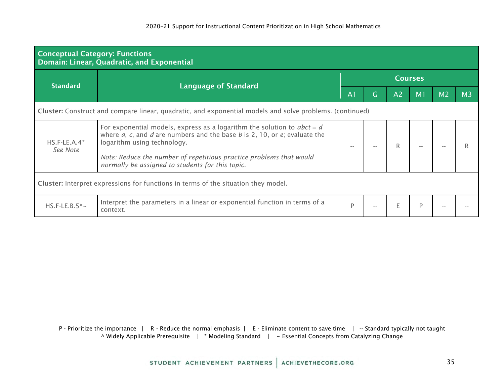| <b>Conceptual Category: Functions</b><br>Domain: Linear, Quadratic, and Exponential                      |                                                                                                                                                                                                                                                                                                                               |                |   |                |    |                |                |  |  |  |  |
|----------------------------------------------------------------------------------------------------------|-------------------------------------------------------------------------------------------------------------------------------------------------------------------------------------------------------------------------------------------------------------------------------------------------------------------------------|----------------|---|----------------|----|----------------|----------------|--|--|--|--|
| <b>Standard</b>                                                                                          |                                                                                                                                                                                                                                                                                                                               | <b>Courses</b> |   |                |    |                |                |  |  |  |  |
|                                                                                                          | <b>Language of Standard</b>                                                                                                                                                                                                                                                                                                   | A <sub>1</sub> | G | A <sub>2</sub> | M1 | M <sub>2</sub> | M <sub>3</sub> |  |  |  |  |
| Cluster: Construct and compare linear, quadratic, and exponential models and solve problems. (continued) |                                                                                                                                                                                                                                                                                                                               |                |   |                |    |                |                |  |  |  |  |
| $HS.F-LE.A.4*$<br>See Note                                                                               | For exponential models, express as a logarithm the solution to $abct = d$<br>where $a$ , $c$ , and $d$ are numbers and the base $b$ is 2, 10, or $e$ ; evaluate the<br>logarithm using technology.<br>Note: Reduce the number of repetitious practice problems that would<br>normally be assigned to students for this topic. |                |   |                |    |                |                |  |  |  |  |
| Cluster: Interpret expressions for functions in terms of the situation they model.                       |                                                                                                                                                                                                                                                                                                                               |                |   |                |    |                |                |  |  |  |  |
| HS.F-LE.B.5 $*$ ~                                                                                        | Interpret the parameters in a linear or exponential function in terms of a<br>context.                                                                                                                                                                                                                                        | D              |   | F              | P  |                |                |  |  |  |  |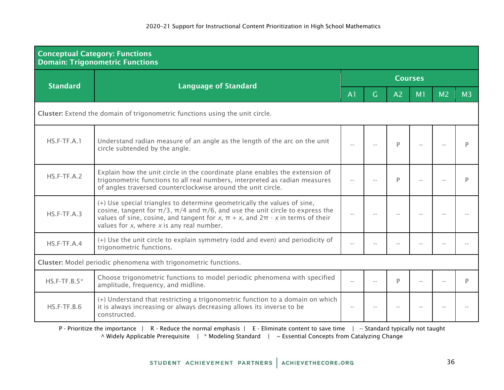| <b>Conceptual Category: Functions</b><br><b>Domain: Trigonometric Functions</b> |                                                                                                                                                                                                                                                                                                                     |                |                |                |                |                |                |  |  |  |
|---------------------------------------------------------------------------------|---------------------------------------------------------------------------------------------------------------------------------------------------------------------------------------------------------------------------------------------------------------------------------------------------------------------|----------------|----------------|----------------|----------------|----------------|----------------|--|--|--|
| <b>Standard</b>                                                                 | <b>Language of Standard</b>                                                                                                                                                                                                                                                                                         | <b>Courses</b> |                |                |                |                |                |  |  |  |
|                                                                                 |                                                                                                                                                                                                                                                                                                                     | A <sub>1</sub> | $\overline{G}$ | A <sub>2</sub> | M <sub>1</sub> | M <sub>2</sub> | M <sub>3</sub> |  |  |  |
| Cluster: Extend the domain of trigonometric functions using the unit circle.    |                                                                                                                                                                                                                                                                                                                     |                |                |                |                |                |                |  |  |  |
| $HS.F-TF.A.1$                                                                   | Understand radian measure of an angle as the length of the arc on the unit<br>circle subtended by the angle.                                                                                                                                                                                                        | $-$            |                | P              |                |                | P              |  |  |  |
| $HS.F-TF.A.2$                                                                   | Explain how the unit circle in the coordinate plane enables the extension of<br>trigonometric functions to all real numbers, interpreted as radian measures<br>of angles traversed counterclockwise around the unit circle.                                                                                         |                |                | P              |                |                | P              |  |  |  |
| $HS.F-TF.A.3$                                                                   | (+) Use special triangles to determine geometrically the values of sine,<br>cosine, tangent for $\pi/3$ , $\pi/4$ and $\pi/6$ , and use the unit circle to express the<br>values of sine, cosine, and tangent for x, $\pi + x$ , and $2\pi - x$ in terms of their<br>values for $x$ , where $x$ is any real number. | $\sim$ $\sim$  |                |                |                |                |                |  |  |  |
| $HS.F-TF.A.4$                                                                   | (+) Use the unit circle to explain symmetry (odd and even) and periodicity of<br>trigonometric functions.                                                                                                                                                                                                           |                |                |                |                |                |                |  |  |  |
|                                                                                 | Cluster: Model periodic phenomena with trigonometric functions.                                                                                                                                                                                                                                                     |                |                |                |                |                |                |  |  |  |
| $HS.F-TF.B.5*$                                                                  | Choose trigonometric functions to model periodic phenomena with specified<br>amplitude, frequency, and midline.                                                                                                                                                                                                     |                |                | D              |                |                | D              |  |  |  |
| $HS.F-TF.B.6$                                                                   | (+) Understand that restricting a trigonometric function to a domain on which<br>it is always increasing or always decreasing allows its inverse to be<br>constructed.                                                                                                                                              | $-$            |                |                |                |                |                |  |  |  |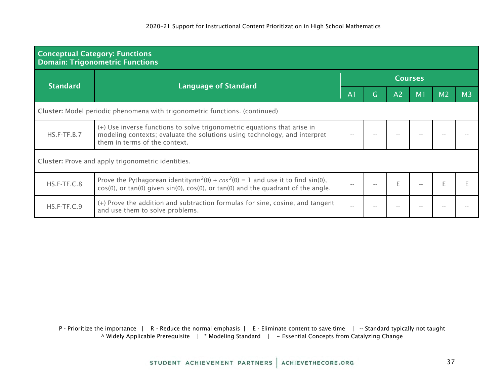| <b>Conceptual Category: Functions</b><br><b>Domain: Trigonometric Functions</b> |                                                                                                                                                                                                                                                                   |                |   |                |                |                |                |  |  |  |
|---------------------------------------------------------------------------------|-------------------------------------------------------------------------------------------------------------------------------------------------------------------------------------------------------------------------------------------------------------------|----------------|---|----------------|----------------|----------------|----------------|--|--|--|
| <b>Standard</b>                                                                 |                                                                                                                                                                                                                                                                   | <b>Courses</b> |   |                |                |                |                |  |  |  |
|                                                                                 | <b>Language of Standard</b>                                                                                                                                                                                                                                       | A <sub>1</sub> | Ġ | A <sub>2</sub> | M <sub>1</sub> | M <sub>2</sub> | M <sub>3</sub> |  |  |  |
| Cluster: Model periodic phenomena with trigonometric functions. (continued)     |                                                                                                                                                                                                                                                                   |                |   |                |                |                |                |  |  |  |
| $HS.F-TF.B.7$                                                                   | (+) Use inverse functions to solve trigonometric equations that arise in<br>modeling contexts; evaluate the solutions using technology, and interpret<br>them in terms of the context.                                                                            |                |   |                |                |                |                |  |  |  |
|                                                                                 | <b>Cluster:</b> Prove and apply trigonometric identities.                                                                                                                                                                                                         |                |   |                |                |                |                |  |  |  |
| HS.F-TF.C.8                                                                     | Prove the Pythagorean identitysin <sup>2</sup> ( $\theta$ ) + cos <sup>2</sup> ( $\theta$ ) = 1 and use it to find sin( $\theta$ ),<br>$cos(\theta)$ , or tan( $\theta$ ) given $sin(\theta)$ , $cos(\theta)$ , or tan( $\theta$ ) and the quadrant of the angle. |                |   | F              |                |                |                |  |  |  |
| HS.F-TF.C.9                                                                     | (+) Prove the addition and subtraction formulas for sine, cosine, and tangent<br>and use them to solve problems.                                                                                                                                                  | $\sim$ $\sim$  |   |                |                |                |                |  |  |  |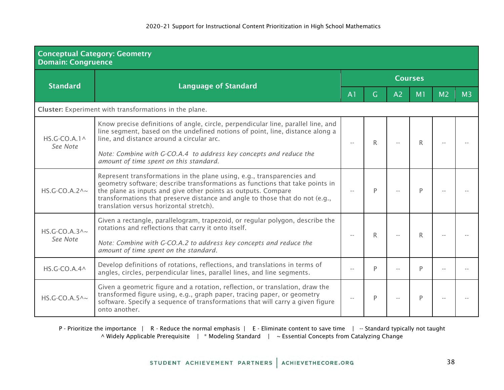| <b>Domain: Congruence</b>                 | <b>Conceptual Category: Geometry</b>                                                                                                                                                                                                                                                                                                               |                          |    |                |                |                |                |  |  |  |
|-------------------------------------------|----------------------------------------------------------------------------------------------------------------------------------------------------------------------------------------------------------------------------------------------------------------------------------------------------------------------------------------------------|--------------------------|----|----------------|----------------|----------------|----------------|--|--|--|
| <b>Standard</b>                           | <b>Language of Standard</b>                                                                                                                                                                                                                                                                                                                        | <b>Courses</b>           |    |                |                |                |                |  |  |  |
|                                           |                                                                                                                                                                                                                                                                                                                                                    | A <sub>1</sub>           | G. | A <sub>2</sub> | M <sub>1</sub> | M <sub>2</sub> | M <sub>3</sub> |  |  |  |
|                                           | Cluster: Experiment with transformations in the plane.                                                                                                                                                                                                                                                                                             |                          |    |                |                |                |                |  |  |  |
| $HS.G-CO.A.1^{\wedge}$<br>See Note        | Know precise definitions of angle, circle, perpendicular line, parallel line, and<br>line segment, based on the undefined notions of point, line, distance along a<br>line, and distance around a circular arc.                                                                                                                                    | R<br>$\sim$ $-$          |    |                | R              |                |                |  |  |  |
|                                           | Note: Combine with G-CO.A.4 to address key concepts and reduce the<br>amount of time spent on this standard.                                                                                                                                                                                                                                       |                          |    |                |                |                |                |  |  |  |
| $HS.G-CO.A.2^{\wedge_{\sim}}$             | Represent transformations in the plane using, e.g., transparencies and<br>geometry software; describe transformations as functions that take points in<br>the plane as inputs and give other points as outputs. Compare<br>transformations that preserve distance and angle to those that do not (e.g.,<br>translation versus horizontal stretch). |                          | P  |                | P              |                |                |  |  |  |
| $HS.G-CO.A.3^{\wedge_{\sim}}$<br>See Note | Given a rectangle, parallelogram, trapezoid, or regular polygon, describe the<br>rotations and reflections that carry it onto itself.<br>Note: Combine with G-CO.A.2 to address key concepts and reduce the<br>amount of time spent on the standard.                                                                                               |                          | R  |                | R.             |                |                |  |  |  |
| $HS.G-CO.A.4^{\wedge}$                    | Develop definitions of rotations, reflections, and translations in terms of<br>angles, circles, perpendicular lines, parallel lines, and line segments.                                                                                                                                                                                            |                          | P  |                | P              |                |                |  |  |  |
| $HS.G-CO.A.5^{\wedge}$                    | Given a geometric figure and a rotation, reflection, or translation, draw the<br>transformed figure using, e.g., graph paper, tracing paper, or geometry<br>software. Specify a sequence of transformations that will carry a given figure<br>onto another.                                                                                        | $\overline{\phantom{a}}$ | P  |                | P              |                |                |  |  |  |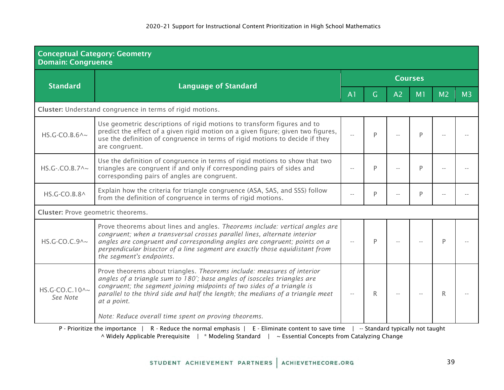| <b>Domain: Congruence</b>          | <b>Conceptual Category: Geometry</b>                                                                                                                                                                                                                                                                                                            |                |              |                |                |                |                |  |  |  |
|------------------------------------|-------------------------------------------------------------------------------------------------------------------------------------------------------------------------------------------------------------------------------------------------------------------------------------------------------------------------------------------------|----------------|--------------|----------------|----------------|----------------|----------------|--|--|--|
|                                    |                                                                                                                                                                                                                                                                                                                                                 | <b>Courses</b> |              |                |                |                |                |  |  |  |
| <b>Standard</b>                    | <b>Language of Standard</b>                                                                                                                                                                                                                                                                                                                     | A <sub>1</sub> | G.           | A <sub>2</sub> | M <sub>1</sub> | M <sub>2</sub> | M <sub>3</sub> |  |  |  |
|                                    | Cluster: Understand congruence in terms of rigid motions.                                                                                                                                                                                                                                                                                       |                |              |                |                |                |                |  |  |  |
| $HS.G-CO.B.6^{\wedge}$ ~           | Use geometric descriptions of rigid motions to transform figures and to<br>predict the effect of a given rigid motion on a given figure; given two figures,<br>use the definition of congruence in terms of rigid motions to decide if they<br>are congruent.                                                                                   |                | P            |                | P              |                |                |  |  |  |
| HS.G-.CO.B.7^~                     | Use the definition of congruence in terms of rigid motions to show that two<br>triangles are congruent if and only if corresponding pairs of sides and<br>corresponding pairs of angles are congruent.                                                                                                                                          |                | P            |                | P              |                |                |  |  |  |
| HS.G-CO.B.8^                       | Explain how the criteria for triangle congruence (ASA, SAS, and SSS) follow<br>from the definition of congruence in terms of rigid motions.                                                                                                                                                                                                     |                | P            |                | P              |                |                |  |  |  |
| Cluster: Prove geometric theorems. |                                                                                                                                                                                                                                                                                                                                                 |                |              |                |                |                |                |  |  |  |
| $HS.G-CO.C.9^{\wedge_{\sim}}$      | Prove theorems about lines and angles. Theorems include: vertical angles are<br>congruent; when a transversal crosses parallel lines, alternate interior<br>angles are congruent and corresponding angles are congruent; points on a<br>perpendicular bisector of a line segment are exactly those equidistant from<br>the segment's endpoints. |                | P            |                |                | P              |                |  |  |  |
| HS.G-CO.C.10^~<br>See Note         | Prove theorems about triangles. Theorems include: measures of interior<br>angles of a triangle sum to 180°; base angles of isosceles triangles are<br>congruent; the segment joining midpoints of two sides of a triangle is<br>parallel to the third side and half the length; the medians of a triangle meet<br>at a point.                   |                | $\mathsf{R}$ |                |                | R.             |                |  |  |  |
|                                    | Note: Reduce overall time spent on proving theorems.<br>the contract of the contract of the contract of the contract of the contract of the contract of the contract of                                                                                                                                                                         |                |              |                |                |                |                |  |  |  |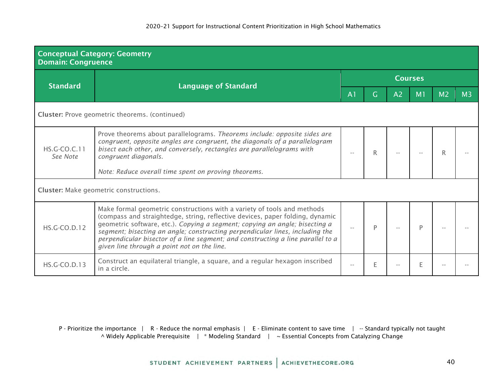| <b>Conceptual Category: Geometry</b><br><b>Domain: Congruence</b> |                                                                                                                                                                                                                                                                                                                                                                                                                                                           |                |    |                |                |                |                |  |  |  |  |
|-------------------------------------------------------------------|-----------------------------------------------------------------------------------------------------------------------------------------------------------------------------------------------------------------------------------------------------------------------------------------------------------------------------------------------------------------------------------------------------------------------------------------------------------|----------------|----|----------------|----------------|----------------|----------------|--|--|--|--|
| <b>Standard</b>                                                   |                                                                                                                                                                                                                                                                                                                                                                                                                                                           | <b>Courses</b> |    |                |                |                |                |  |  |  |  |
|                                                                   | <b>Language of Standard</b>                                                                                                                                                                                                                                                                                                                                                                                                                               | A <sub>1</sub> | G. | A <sub>2</sub> | M <sub>1</sub> | M <sub>2</sub> | M <sub>3</sub> |  |  |  |  |
| <b>Cluster:</b> Prove geometric theorems. (continued)             |                                                                                                                                                                                                                                                                                                                                                                                                                                                           |                |    |                |                |                |                |  |  |  |  |
| HS.G-CO.C.11<br>See Note                                          | Prove theorems about parallelograms. Theorems include: opposite sides are<br>congruent, opposite angles are congruent, the diagonals of a parallelogram<br>bisect each other, and conversely, rectangles are parallelograms with<br>congruent diagonals.<br>Note: Reduce overall time spent on proving theorems.                                                                                                                                          |                | R  |                |                |                |                |  |  |  |  |
|                                                                   | <b>Cluster:</b> Make geometric constructions.                                                                                                                                                                                                                                                                                                                                                                                                             |                |    |                |                |                |                |  |  |  |  |
| HS.G-CO.D.12                                                      | Make formal geometric constructions with a variety of tools and methods<br>(compass and straightedge, string, reflective devices, paper folding, dynamic<br>geometric software, etc.). Copying a segment; copying an angle; bisecting a<br>segment; bisecting an angle; constructing perpendicular lines, including the<br>perpendicular bisector of a line segment; and constructing a line parallel to a<br>given line through a point not on the line. |                | P  |                |                |                |                |  |  |  |  |
| <b>HS.G-CO.D.13</b>                                               | Construct an equilateral triangle, a square, and a regular hexagon inscribed<br>in a circle.                                                                                                                                                                                                                                                                                                                                                              |                | Е  |                |                |                |                |  |  |  |  |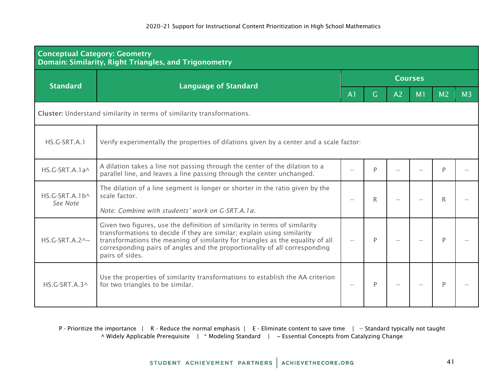| <b>Conceptual Category: Geometry</b>                                   | Domain: Similarity, Right Triangles, and Trigonometry                                                                                                                                                                                                                                                                                    |                          |                |    |    |                |                |  |  |  |
|------------------------------------------------------------------------|------------------------------------------------------------------------------------------------------------------------------------------------------------------------------------------------------------------------------------------------------------------------------------------------------------------------------------------|--------------------------|----------------|----|----|----------------|----------------|--|--|--|
| <b>Standard</b>                                                        |                                                                                                                                                                                                                                                                                                                                          | <b>Courses</b>           |                |    |    |                |                |  |  |  |
|                                                                        | <b>Language of Standard</b>                                                                                                                                                                                                                                                                                                              | A <sub>1</sub>           | $\overline{G}$ | A2 | M1 | M <sub>2</sub> | M <sub>3</sub> |  |  |  |
| Cluster: Understand similarity in terms of similarity transformations. |                                                                                                                                                                                                                                                                                                                                          |                          |                |    |    |                |                |  |  |  |
| HS.G-SRT.A.1                                                           | Verify experimentally the properties of dilations given by a center and a scale factor:                                                                                                                                                                                                                                                  |                          |                |    |    |                |                |  |  |  |
| HS.G-SRT.A.1a^                                                         | A dilation takes a line not passing through the center of the dilation to a<br>parallel line, and leaves a line passing through the center unchanged.                                                                                                                                                                                    |                          | P              |    |    | D              |                |  |  |  |
| $HS$ G-SRT A $1 b \wedge$<br>See Note                                  | The dilation of a line segment is longer or shorter in the ratio given by the<br>scale factor.<br>Note: Combine with students' work on G-SRT.A.1a.                                                                                                                                                                                       |                          | R              |    |    | R              |                |  |  |  |
| $HS.G-SRT.A.2^{\wedge_{\sim}}$                                         | Given two figures, use the definition of similarity in terms of similarity<br>transformations to decide if they are similar; explain using similarity<br>transformations the meaning of similarity for triangles as the equality of all<br>corresponding pairs of angles and the proportionality of all corresponding<br>pairs of sides. | $\overline{\phantom{a}}$ | P              |    |    | P              |                |  |  |  |
| $HS.G-SRT.A.3^{\wedge}$                                                | Use the properties of similarity transformations to establish the AA criterion<br>for two triangles to be similar.                                                                                                                                                                                                                       |                          | P              |    |    | Þ              |                |  |  |  |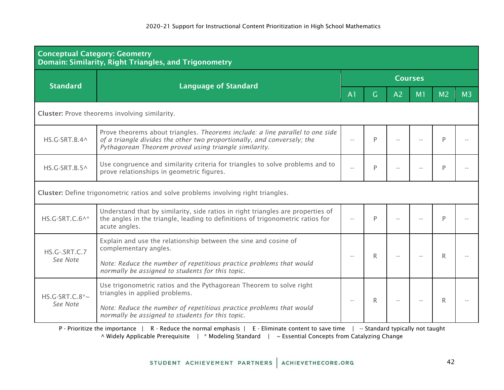| <b>Conceptual Category: Geometry</b><br><b>Domain: Similarity, Right Triangles, and Trigonometry</b> |                                                                                                                                                                                                                   |                |   |                |    |                |                |  |  |  |
|------------------------------------------------------------------------------------------------------|-------------------------------------------------------------------------------------------------------------------------------------------------------------------------------------------------------------------|----------------|---|----------------|----|----------------|----------------|--|--|--|
| <b>Standard</b>                                                                                      | <b>Language of Standard</b>                                                                                                                                                                                       | <b>Courses</b> |   |                |    |                |                |  |  |  |
|                                                                                                      |                                                                                                                                                                                                                   | A <sub>1</sub> | G | A <sub>2</sub> | M1 | M <sub>2</sub> | M <sub>3</sub> |  |  |  |
|                                                                                                      | Cluster: Prove theorems involving similarity.                                                                                                                                                                     |                |   |                |    |                |                |  |  |  |
| HS.G-SRT.B.4^                                                                                        | Prove theorems about triangles. Theorems include: a line parallel to one side<br>of a triangle divides the other two proportionally, and conversely; the<br>Pythagorean Theorem proved using triangle similarity. |                | P |                |    | P              |                |  |  |  |
| HS.G-SRT.B.5^                                                                                        | Use congruence and similarity criteria for triangles to solve problems and to<br>prove relationships in geometric figures.                                                                                        |                | P |                |    | P              |                |  |  |  |
|                                                                                                      | Cluster: Define trigonometric ratios and solve problems involving right triangles.                                                                                                                                |                |   |                |    |                |                |  |  |  |
| HS.G-SRT.C.6^*                                                                                       | Understand that by similarity, side ratios in right triangles are properties of<br>the angles in the triangle, leading to definitions of trigonometric ratios for<br>acute angles.                                |                | P |                |    | P              |                |  |  |  |
| HS.G-.SRT.C.7                                                                                        | Explain and use the relationship between the sine and cosine of<br>complementary angles.                                                                                                                          |                | R |                |    | R              |                |  |  |  |
| See Note                                                                                             | Note: Reduce the number of repetitious practice problems that would<br>normally be assigned to students for this topic.                                                                                           | $-$            |   |                |    |                |                |  |  |  |
| $HS.G-SRT.C.8^*~$<br>See Note                                                                        | Use trigonometric ratios and the Pythagorean Theorem to solve right<br>triangles in applied problems.                                                                                                             |                | R |                |    | R              |                |  |  |  |
|                                                                                                      | Note: Reduce the number of repetitious practice problems that would<br>normally be assigned to students for this topic.                                                                                           | $\sim$ $-$     |   |                |    |                |                |  |  |  |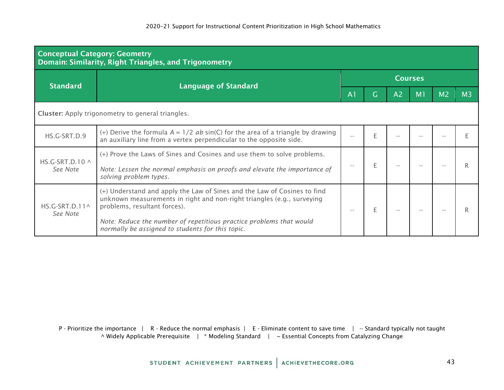| <b>Conceptual Category: Geometry</b><br>Domain: Similarity, Right Triangles, and Trigonometry |                                                                                                                                                                                                                                                                                                               |                |                |                |                |                |                |  |  |  |  |
|-----------------------------------------------------------------------------------------------|---------------------------------------------------------------------------------------------------------------------------------------------------------------------------------------------------------------------------------------------------------------------------------------------------------------|----------------|----------------|----------------|----------------|----------------|----------------|--|--|--|--|
| <b>Standard</b>                                                                               |                                                                                                                                                                                                                                                                                                               | <b>Courses</b> |                |                |                |                |                |  |  |  |  |
|                                                                                               | <b>Language of Standard</b>                                                                                                                                                                                                                                                                                   | A <sub>1</sub> | $\overline{G}$ | A <sub>2</sub> | M <sub>1</sub> | M <sub>2</sub> | M <sub>3</sub> |  |  |  |  |
|                                                                                               | <b>Cluster:</b> Apply trigonometry to general triangles.                                                                                                                                                                                                                                                      |                |                |                |                |                |                |  |  |  |  |
| HS.G-SRT.D.9                                                                                  | (+) Derive the formula $A = 1/2$ ab sin(C) for the area of a triangle by drawing<br>an auxiliary line from a vertex perpendicular to the opposite side.                                                                                                                                                       |                | E              |                |                |                |                |  |  |  |  |
| HS.G-SRT.D.10 $\land$<br>See Note                                                             | (+) Prove the Laws of Sines and Cosines and use them to solve problems.<br>Note: Lessen the normal emphasis on proofs and elevate the importance of<br>solving problem types.                                                                                                                                 |                | E              |                |                |                |                |  |  |  |  |
| HS.G-SRT.D.11^<br>See Note                                                                    | (+) Understand and apply the Law of Sines and the Law of Cosines to find<br>unknown measurements in right and non-right triangles (e.g., surveying<br>problems, resultant forces).<br>Note: Reduce the number of repetitious practice problems that would<br>normally be assigned to students for this topic. | $- -$          | E              |                |                |                |                |  |  |  |  |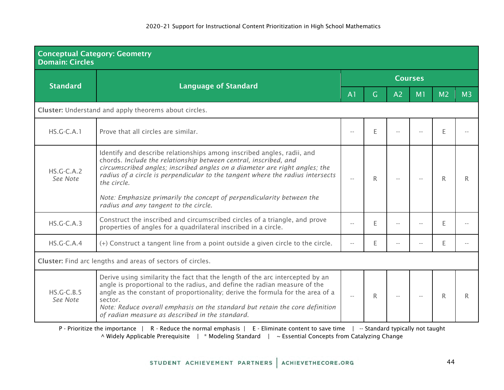| <b>Conceptual Category: Geometry</b><br><b>Domain: Circles</b> |                                                                                                                                                                                                                                                                                                                                                                                                                                             |                            |    |                |                |                |                |  |  |  |
|----------------------------------------------------------------|---------------------------------------------------------------------------------------------------------------------------------------------------------------------------------------------------------------------------------------------------------------------------------------------------------------------------------------------------------------------------------------------------------------------------------------------|----------------------------|----|----------------|----------------|----------------|----------------|--|--|--|
| <b>Standard</b>                                                |                                                                                                                                                                                                                                                                                                                                                                                                                                             | <b>Courses</b>             |    |                |                |                |                |  |  |  |
|                                                                | <b>Language of Standard</b>                                                                                                                                                                                                                                                                                                                                                                                                                 | A <sub>1</sub>             | G. | A <sub>2</sub> | M <sub>1</sub> | M <sub>2</sub> | M <sub>3</sub> |  |  |  |
|                                                                | Cluster: Understand and apply theorems about circles.                                                                                                                                                                                                                                                                                                                                                                                       |                            |    |                |                |                |                |  |  |  |
| $HS.G-C.A.1$                                                   | Prove that all circles are similar.                                                                                                                                                                                                                                                                                                                                                                                                         |                            | E  |                |                | F              |                |  |  |  |
| $HS.G-C.A.2$<br>See Note                                       | Identify and describe relationships among inscribed angles, radii, and<br>chords. Include the relationship between central, inscribed, and<br>circumscribed angles; inscribed angles on a diameter are right angles; the<br>radius of a circle is perpendicular to the tangent where the radius intersects<br>the circle.<br>Note: Emphasize primarily the concept of perpendicularity between the<br>radius and any tangent to the circle. | $-$                        | R  |                |                | R.             | R              |  |  |  |
| $HS.G-C.A.3$                                                   | Construct the inscribed and circumscribed circles of a triangle, and prove<br>properties of angles for a quadrilateral inscribed in a circle.                                                                                                                                                                                                                                                                                               |                            | E  |                |                | E              |                |  |  |  |
| $HS.G-C.A.4$                                                   | (+) Construct a tangent line from a point outside a given circle to the circle.                                                                                                                                                                                                                                                                                                                                                             |                            | E  |                |                | F.             |                |  |  |  |
|                                                                | Cluster: Find arc lengths and areas of sectors of circles.                                                                                                                                                                                                                                                                                                                                                                                  |                            |    |                |                |                |                |  |  |  |
| $HS.G-C.B.5$<br>See Note                                       | Derive using similarity the fact that the length of the arc intercepted by an<br>angle is proportional to the radius, and define the radian measure of the<br>angle as the constant of proportionality; derive the formula for the area of a<br>sector.<br>Note: Reduce overall emphasis on the standard but retain the core definition<br>of radian measure as described in the standard.                                                  | $\overline{\phantom{a}}$ . | R. |                |                | R.             | R              |  |  |  |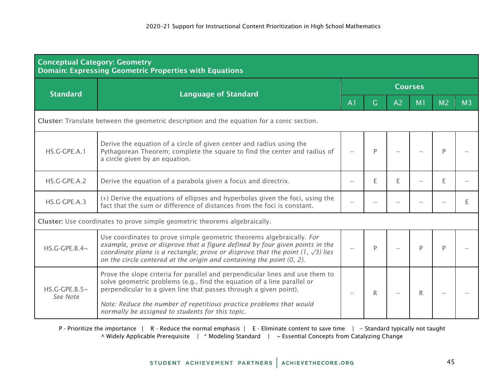| <b>Conceptual Category: Geometry</b>                                                       | <b>Domain: Expressing Geometric Properties with Equations</b>                                                                                                                                                                                                                                                               |                |   |                |                |                |                |  |  |  |
|--------------------------------------------------------------------------------------------|-----------------------------------------------------------------------------------------------------------------------------------------------------------------------------------------------------------------------------------------------------------------------------------------------------------------------------|----------------|---|----------------|----------------|----------------|----------------|--|--|--|
| <b>Standard</b>                                                                            |                                                                                                                                                                                                                                                                                                                             | <b>Courses</b> |   |                |                |                |                |  |  |  |
|                                                                                            | <b>Language of Standard</b>                                                                                                                                                                                                                                                                                                 | A <sub>1</sub> | G | A <sub>2</sub> | M <sub>1</sub> | M <sub>2</sub> | M <sub>3</sub> |  |  |  |
| Cluster: Translate between the geometric description and the equation for a conic section. |                                                                                                                                                                                                                                                                                                                             |                |   |                |                |                |                |  |  |  |
| HS.G-GPE.A.1                                                                               | Derive the equation of a circle of given center and radius using the<br>Pythagorean Theorem; complete the square to find the center and radius of<br>a circle given by an equation.                                                                                                                                         |                | P |                |                | D              |                |  |  |  |
| HS.G-GPE.A.2                                                                               | Derive the equation of a parabola given a focus and directrix.                                                                                                                                                                                                                                                              |                | E | E              |                | E              |                |  |  |  |
| HS.G-GPE.A.3                                                                               | (+) Derive the equations of ellipses and hyperbolas given the foci, using the<br>fact that the sum or difference of distances from the foci is constant.                                                                                                                                                                    |                |   |                |                |                |                |  |  |  |
|                                                                                            | Cluster: Use coordinates to prove simple geometric theorems algebraically.                                                                                                                                                                                                                                                  |                |   |                |                |                |                |  |  |  |
| $HS.G-GPE.B.4~$                                                                            | Use coordinates to prove simple geometric theorems algebraically. For<br>example, prove or disprove that a figure defined by four given points in the<br>coordinate plane is a rectangle; prove or disprove that the point $(1, \sqrt{3})$ lies<br>on the circle centered at the origin and containing the point $(0, 2)$ . |                | P |                | P              |                |                |  |  |  |
| $HS.G-GPE.B.5~$<br>See Note                                                                | Prove the slope criteria for parallel and perpendicular lines and use them to<br>solve geometric problems (e.g., find the equation of a line parallel or<br>perpendicular to a given line that passes through a given point).                                                                                               | $-$            | R |                | R.             |                |                |  |  |  |
|                                                                                            | Note: Reduce the number of repetitious practice problems that would<br>normally be assigned to students for this topic.                                                                                                                                                                                                     |                |   |                |                |                |                |  |  |  |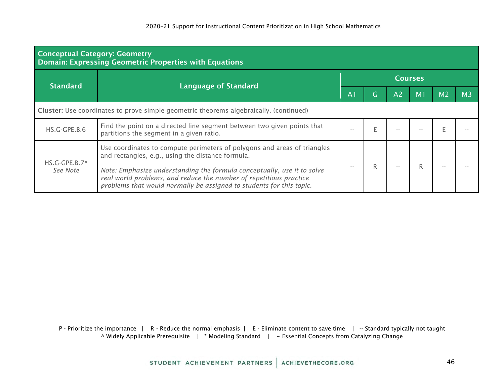| <b>Conceptual Category: Geometry</b><br><b>Domain: Expressing Geometric Properties with Equations</b> |                                                                                                                                                                                                                                                                                                                                                        |                |  |                |                |                |                |  |  |  |  |
|-------------------------------------------------------------------------------------------------------|--------------------------------------------------------------------------------------------------------------------------------------------------------------------------------------------------------------------------------------------------------------------------------------------------------------------------------------------------------|----------------|--|----------------|----------------|----------------|----------------|--|--|--|--|
| <b>Standard</b>                                                                                       |                                                                                                                                                                                                                                                                                                                                                        | <b>Courses</b> |  |                |                |                |                |  |  |  |  |
|                                                                                                       | <b>Language of Standard</b>                                                                                                                                                                                                                                                                                                                            |                |  | A <sub>2</sub> | M <sub>1</sub> | M <sub>2</sub> | M <sub>3</sub> |  |  |  |  |
| Cluster: Use coordinates to prove simple geometric theorems algebraically. (continued)                |                                                                                                                                                                                                                                                                                                                                                        |                |  |                |                |                |                |  |  |  |  |
| HS.G-GPE.B.6                                                                                          | Find the point on a directed line segment between two given points that<br>partitions the segment in a given ratio.                                                                                                                                                                                                                                    |                |  |                |                |                |                |  |  |  |  |
| $HS.G-GPE.B.7*$<br>See Note                                                                           | Use coordinates to compute perimeters of polygons and areas of triangles<br>and rectangles, e.g., using the distance formula.<br>Note: Emphasize understanding the formula conceptually, use it to solve<br>real world problems, and reduce the number of repetitious practice<br>problems that would normally be assigned to students for this topic. |                |  |                |                |                |                |  |  |  |  |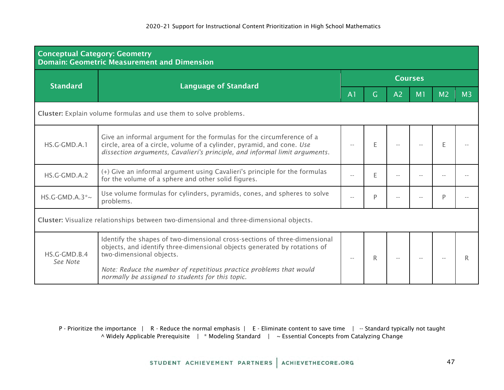| <b>Conceptual Category: Geometry</b>                             | <b>Domain: Geometric Measurement and Dimension</b>                                                                                                                                                                            |                |    |                |    |                |                |  |  |  |
|------------------------------------------------------------------|-------------------------------------------------------------------------------------------------------------------------------------------------------------------------------------------------------------------------------|----------------|----|----------------|----|----------------|----------------|--|--|--|
| <b>Standard</b>                                                  |                                                                                                                                                                                                                               | <b>Courses</b> |    |                |    |                |                |  |  |  |
|                                                                  | <b>Language of Standard</b>                                                                                                                                                                                                   | A <sub>1</sub> | G. | A <sub>2</sub> | M1 | M <sub>2</sub> | M <sub>3</sub> |  |  |  |
| Cluster: Explain volume formulas and use them to solve problems. |                                                                                                                                                                                                                               |                |    |                |    |                |                |  |  |  |
| HS.G-GMD.A.1                                                     | Give an informal argument for the formulas for the circumference of a<br>circle, area of a circle, volume of a cylinder, pyramid, and cone. Use<br>dissection arguments, Cavalieri's principle, and informal limit arguments. |                | E  |                |    |                |                |  |  |  |
| HS.G-GMD.A.2                                                     | (+) Give an informal argument using Cavalieri's principle for the formulas<br>for the volume of a sphere and other solid figures.                                                                                             |                | E  |                |    |                |                |  |  |  |
| HS.G-GMD.A.3 $*$ ~                                               | Use volume formulas for cylinders, pyramids, cones, and spheres to solve<br>problems.                                                                                                                                         |                | P  |                |    | D              |                |  |  |  |
|                                                                  | Cluster: Visualize relationships between two-dimensional and three-dimensional objects.                                                                                                                                       |                |    |                |    |                |                |  |  |  |
| HS.G-GMD.B.4                                                     | Identify the shapes of two-dimensional cross-sections of three-dimensional<br>objects, and identify three-dimensional objects generated by rotations of<br>two-dimensional objects.                                           |                | R  |                |    |                |                |  |  |  |
| See Note                                                         | Note: Reduce the number of repetitious practice problems that would<br>normally be assigned to students for this topic.                                                                                                       |                |    |                |    |                |                |  |  |  |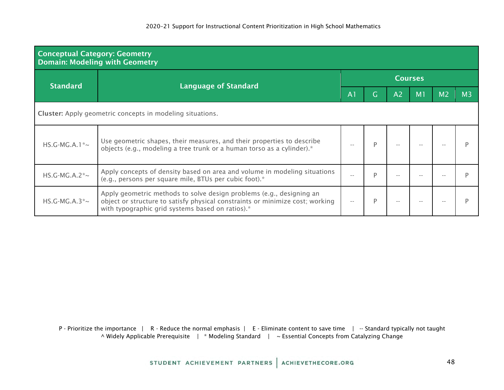| <b>Conceptual Category: Geometry</b><br><b>Domain: Modeling with Geometry</b> |                                                                                                                                                                                                           |                |   |                |                |                |                |  |  |  |  |
|-------------------------------------------------------------------------------|-----------------------------------------------------------------------------------------------------------------------------------------------------------------------------------------------------------|----------------|---|----------------|----------------|----------------|----------------|--|--|--|--|
| <b>Standard</b>                                                               |                                                                                                                                                                                                           | <b>Courses</b> |   |                |                |                |                |  |  |  |  |
|                                                                               | <b>Language of Standard</b>                                                                                                                                                                               | A <sub>1</sub> | Ġ | A <sub>2</sub> | M <sub>1</sub> | M <sub>2</sub> | M <sub>3</sub> |  |  |  |  |
| <b>Cluster:</b> Apply geometric concepts in modeling situations.              |                                                                                                                                                                                                           |                |   |                |                |                |                |  |  |  |  |
| $HS.G-MG.A.1*~$                                                               | Use geometric shapes, their measures, and their properties to describe<br>objects (e.g., modeling a tree trunk or a human torso as a cylinder).*                                                          |                |   |                |                |                |                |  |  |  |  |
| $HS.G-MG.A.2^*~$                                                              | Apply concepts of density based on area and volume in modeling situations<br>(e.g., persons per square mile, BTUs per cubic foot).*                                                                       | $- -$          | D |                |                |                |                |  |  |  |  |
| $HS.G-MG.A.3^*~$                                                              | Apply geometric methods to solve design problems (e.g., designing an<br>object or structure to satisfy physical constraints or minimize cost; working<br>with typographic grid systems based on ratios).* |                | P |                |                |                |                |  |  |  |  |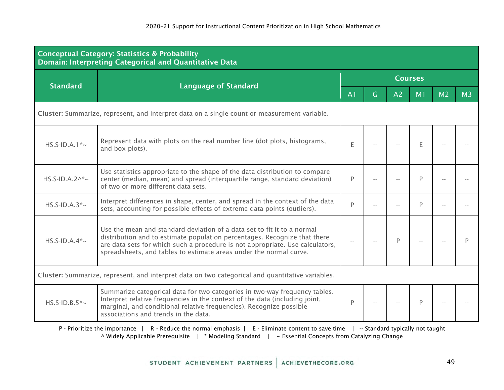|                                                                                              | <b>Conceptual Category: Statistics &amp; Probability</b><br>Domain: Interpreting Categorical and Quantitative Data                                                                                                                                                                                          |                |     |                |    |                |                |  |  |  |  |
|----------------------------------------------------------------------------------------------|-------------------------------------------------------------------------------------------------------------------------------------------------------------------------------------------------------------------------------------------------------------------------------------------------------------|----------------|-----|----------------|----|----------------|----------------|--|--|--|--|
| <b>Standard</b>                                                                              | <b>Language of Standard</b>                                                                                                                                                                                                                                                                                 | <b>Courses</b> |     |                |    |                |                |  |  |  |  |
|                                                                                              |                                                                                                                                                                                                                                                                                                             | A <sub>1</sub> | G.  | A <sub>2</sub> | M1 | M <sub>2</sub> | M <sub>3</sub> |  |  |  |  |
| Cluster: Summarize, represent, and interpret data on a single count or measurement variable. |                                                                                                                                                                                                                                                                                                             |                |     |                |    |                |                |  |  |  |  |
| $HS.S-ID.A.1^*~$                                                                             | Represent data with plots on the real number line (dot plots, histograms,<br>and box plots).                                                                                                                                                                                                                | E              |     |                | E  |                |                |  |  |  |  |
| $HS.S$ -ID.A.2^*~                                                                            | Use statistics appropriate to the shape of the data distribution to compare<br>center (median, mean) and spread (interquartile range, standard deviation)<br>of two or more different data sets.                                                                                                            | P              |     |                | D  |                |                |  |  |  |  |
| $HS.S-ID.A.3^*~$                                                                             | Interpret differences in shape, center, and spread in the context of the data<br>sets, accounting for possible effects of extreme data points (outliers).                                                                                                                                                   | D              |     |                | P  |                |                |  |  |  |  |
| $HS.S$ -ID.A.4 $\approx$                                                                     | Use the mean and standard deviation of a data set to fit it to a normal<br>distribution and to estimate population percentages. Recognize that there<br>are data sets for which such a procedure is not appropriate. Use calculators,<br>spreadsheets, and tables to estimate areas under the normal curve. |                |     | P              |    |                |                |  |  |  |  |
|                                                                                              | Cluster: Summarize, represent, and interpret data on two categorical and quantitative variables.                                                                                                                                                                                                            |                |     |                |    |                |                |  |  |  |  |
| $HS.S-ID.B.5^*~$                                                                             | Summarize categorical data for two categories in two-way frequency tables.<br>Interpret relative frequencies in the context of the data (including joint,<br>marginal, and conditional relative frequencies). Recognize possible<br>associations and trends in the data.                                    | P              | $-$ |                | P  |                |                |  |  |  |  |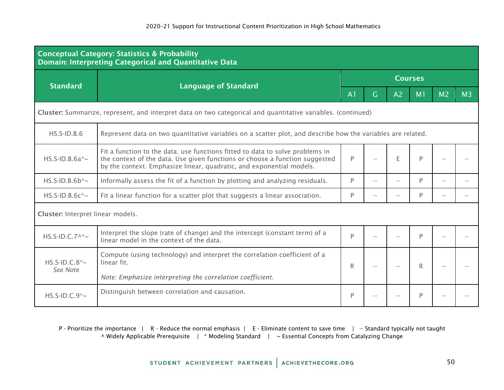| <b>Conceptual Category: Statistics &amp; Probability</b><br>Domain: Interpreting Categorical and Quantitative Data |                                                                                                                                                                                                                                      |                |                            |                |                |                |                |  |  |  |
|--------------------------------------------------------------------------------------------------------------------|--------------------------------------------------------------------------------------------------------------------------------------------------------------------------------------------------------------------------------------|----------------|----------------------------|----------------|----------------|----------------|----------------|--|--|--|
| <b>Standard</b>                                                                                                    |                                                                                                                                                                                                                                      | <b>Courses</b> |                            |                |                |                |                |  |  |  |
|                                                                                                                    | <b>Language of Standard</b>                                                                                                                                                                                                          | A <sub>1</sub> | $\overline{G}$             | A <sub>2</sub> | M <sub>1</sub> | M <sub>2</sub> | M <sub>3</sub> |  |  |  |
|                                                                                                                    | Cluster: Summarize, represent, and interpret data on two categorical and quantitative variables. (continued)                                                                                                                         |                |                            |                |                |                |                |  |  |  |
| $HS.S-ID.B.6$                                                                                                      | Represent data on two quantitative variables on a scatter plot, and describe how the variables are related.                                                                                                                          |                |                            |                |                |                |                |  |  |  |
| $HS.S-ID.B.6a^*~$                                                                                                  | Fit a function to the data; use functions fitted to data to solve problems in<br>the context of the data. Use given functions or choose a function suggested<br>by the context. Emphasize linear, quadratic, and exponential models. | P              |                            | E              | P              |                |                |  |  |  |
| $HS.S$ -ID.B.6b $*$ ~                                                                                              | Informally assess the fit of a function by plotting and analyzing residuals.                                                                                                                                                         | P              |                            |                | P              |                |                |  |  |  |
| $HS.S$ -ID.B.6 $c^*$ ~                                                                                             | Fit a linear function for a scatter plot that suggests a linear association.                                                                                                                                                         | P              |                            |                | P              |                |                |  |  |  |
| Cluster: Interpret linear models.                                                                                  |                                                                                                                                                                                                                                      |                |                            |                |                |                |                |  |  |  |
| $HS.S-ID.C.7^*~$                                                                                                   | Interpret the slope (rate of change) and the intercept (constant term) of a<br>linear model in the context of the data.                                                                                                              | P              |                            |                | P              |                |                |  |  |  |
| $HS.S-ID.C.8*~$<br>See Note                                                                                        | Compute (using technology) and interpret the correlation coefficient of a<br>linear fit.                                                                                                                                             | R              | $\overline{\phantom{a}}$ . | $\sim$ $-$     | R.             |                |                |  |  |  |
|                                                                                                                    | Note: Emphasize interpreting the correlation coefficient.<br>Distinguish between correlation and causation.                                                                                                                          |                |                            |                |                |                |                |  |  |  |
| $HS.S$ -ID.C.9 $\approx$                                                                                           |                                                                                                                                                                                                                                      | P              |                            |                | P              |                |                |  |  |  |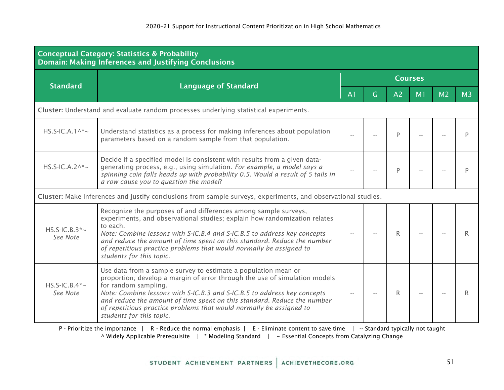| <b>Conceptual Category: Statistics &amp; Probability</b><br><b>Domain: Making Inferences and Justifying Conclusions</b> |                                                                                                                                                                                                                                                                                                                                                                                                                                |                |   |                |                |                |                |  |  |  |
|-------------------------------------------------------------------------------------------------------------------------|--------------------------------------------------------------------------------------------------------------------------------------------------------------------------------------------------------------------------------------------------------------------------------------------------------------------------------------------------------------------------------------------------------------------------------|----------------|---|----------------|----------------|----------------|----------------|--|--|--|
| <b>Standard</b>                                                                                                         | <b>Language of Standard</b>                                                                                                                                                                                                                                                                                                                                                                                                    | <b>Courses</b> |   |                |                |                |                |  |  |  |
|                                                                                                                         |                                                                                                                                                                                                                                                                                                                                                                                                                                | A <sub>1</sub> | G | A <sub>2</sub> | M <sub>1</sub> | M <sub>2</sub> | M <sub>3</sub> |  |  |  |
|                                                                                                                         | Cluster: Understand and evaluate random processes underlying statistical experiments.                                                                                                                                                                                                                                                                                                                                          |                |   |                |                |                |                |  |  |  |
| $HS.S-IC.A.1^*$                                                                                                         | Understand statistics as a process for making inferences about population<br>parameters based on a random sample from that population.                                                                                                                                                                                                                                                                                         |                |   | P              |                |                |                |  |  |  |
| $HS.S-IC.A.2^*~$                                                                                                        | Decide if a specified model is consistent with results from a given data-<br>generating process, e.g., using simulation. For example, a model says a<br>spinning coin falls heads up with probability 0.5. Would a result of 5 tails in<br>a row cause you to question the model?                                                                                                                                              |                |   | P              |                |                |                |  |  |  |
|                                                                                                                         | Cluster: Make inferences and justify conclusions from sample surveys, experiments, and observational studies.                                                                                                                                                                                                                                                                                                                  |                |   |                |                |                |                |  |  |  |
| $HS.S-IC.B.3*~$<br>See Note                                                                                             | Recognize the purposes of and differences among sample surveys,<br>experiments, and observational studies; explain how randomization relates<br>to each.<br>Note: Combine lessons with S-IC.B.4 and S-IC.B.5 to address key concepts<br>and reduce the amount of time spent on this standard. Reduce the number<br>of repetitious practice problems that would normally be assigned to<br>students for this topic.             |                |   | R.             |                |                | R              |  |  |  |
| $HS.S-IC.B.4*~$<br>See Note                                                                                             | Use data from a sample survey to estimate a population mean or<br>proportion; develop a margin of error through the use of simulation models<br>for random sampling.<br>Note: Combine lessons with S-IC.B.3 and S-IC.B.5 to address key concepts<br>and reduce the amount of time spent on this standard. Reduce the number<br>of repetitious practice problems that would normally be assigned to<br>students for this topic. |                |   | R              |                |                | R              |  |  |  |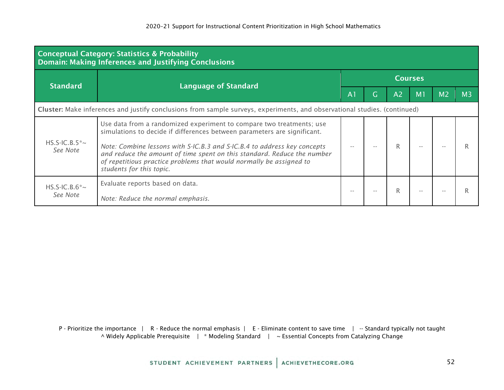| <b>Conceptual Category: Statistics &amp; Probability</b><br><b>Domain: Making Inferences and Justifying Conclusions</b>   |                                                                                                                                                                                                                                                                                                                                                                                                            |                |   |                |                |                |                |  |  |
|---------------------------------------------------------------------------------------------------------------------------|------------------------------------------------------------------------------------------------------------------------------------------------------------------------------------------------------------------------------------------------------------------------------------------------------------------------------------------------------------------------------------------------------------|----------------|---|----------------|----------------|----------------|----------------|--|--|
| <b>Standard</b>                                                                                                           | <b>Language of Standard</b>                                                                                                                                                                                                                                                                                                                                                                                | <b>Courses</b> |   |                |                |                |                |  |  |
|                                                                                                                           |                                                                                                                                                                                                                                                                                                                                                                                                            | A <sub>1</sub> | Ġ | A <sub>2</sub> | M <sub>1</sub> | M <sub>2</sub> | M <sub>3</sub> |  |  |
| Cluster: Make inferences and justify conclusions from sample surveys, experiments, and observational studies. (continued) |                                                                                                                                                                                                                                                                                                                                                                                                            |                |   |                |                |                |                |  |  |
| $HS.S-IC.B.5*~$<br>See Note                                                                                               | Use data from a randomized experiment to compare two treatments; use<br>simulations to decide if differences between parameters are significant.<br>Note: Combine lessons with S-IC.B.3 and S-IC.B.4 to address key concepts<br>and reduce the amount of time spent on this standard. Reduce the number<br>of repetitious practice problems that would normally be assigned to<br>students for this topic. |                |   |                |                |                |                |  |  |
| $HS.S-IC.B.6*~$<br>See Note                                                                                               | Evaluate reports based on data.<br>Note: Reduce the normal emphasis.                                                                                                                                                                                                                                                                                                                                       | $ -$           |   |                |                |                |                |  |  |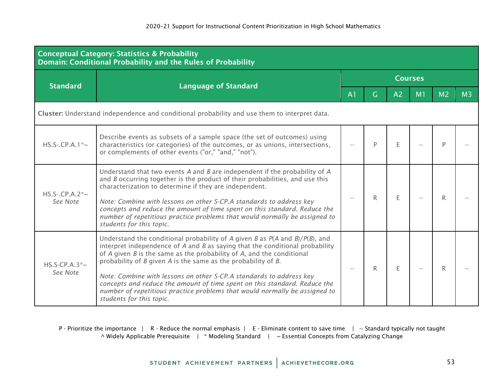| <b>Conceptual Category: Statistics &amp; Probability</b><br><b>Domain: Conditional Probability and the Rules of Probability</b> |                                                                                                                                                                                                                                                                                                                                                                                                                                                                                                                                                                                            |                |              |                |                |                |                |  |  |  |
|---------------------------------------------------------------------------------------------------------------------------------|--------------------------------------------------------------------------------------------------------------------------------------------------------------------------------------------------------------------------------------------------------------------------------------------------------------------------------------------------------------------------------------------------------------------------------------------------------------------------------------------------------------------------------------------------------------------------------------------|----------------|--------------|----------------|----------------|----------------|----------------|--|--|--|
|                                                                                                                                 |                                                                                                                                                                                                                                                                                                                                                                                                                                                                                                                                                                                            | <b>Courses</b> |              |                |                |                |                |  |  |  |
| <b>Standard</b>                                                                                                                 | <b>Language of Standard</b>                                                                                                                                                                                                                                                                                                                                                                                                                                                                                                                                                                | A <sub>1</sub> | $\mathsf{G}$ | A <sub>2</sub> | M <sub>1</sub> | M <sub>2</sub> | M <sub>3</sub> |  |  |  |
|                                                                                                                                 | Cluster: Understand independence and conditional probability and use them to interpret data.                                                                                                                                                                                                                                                                                                                                                                                                                                                                                               |                |              |                |                |                |                |  |  |  |
| $HS.S-.CP.A.1*-$                                                                                                                | Describe events as subsets of a sample space (the set of outcomes) using<br>characteristics (or categories) of the outcomes, or as unions, intersections,<br>or complements of other events ("or," "and," "not").                                                                                                                                                                                                                                                                                                                                                                          |                | P            | E              |                | D              |                |  |  |  |
| $HS.S-.CP.A.2^* \sim$<br>See Note                                                                                               | Understand that two events $A$ and $B$ are independent if the probability of $A$<br>and <i>B</i> occurring together is the product of their probabilities, and use this<br>characterization to determine if they are independent.<br>Note: Combine with lessons on other S-CP.A standards to address key<br>concepts and reduce the amount of time spent on this standard. Reduce the<br>number of repetitious practice problems that would normally be assigned to<br>students for this topic.                                                                                            |                | $\mathsf{R}$ | E              |                | R.             |                |  |  |  |
| HS.S-CP.A.3 $\sim$<br>See Note                                                                                                  | Understand the conditional probability of A given B as $P(A \text{ and } B)/P(B)$ , and<br>interpret independence of $A$ and $B$ as saying that the conditional probability<br>of $A$ given $B$ is the same as the probability of $A$ , and the conditional<br>probability of B given A is the same as the probability of B.<br>Note: Combine with lessons on other S-CP.A standards to address key<br>concepts and reduce the amount of time spent on this standard. Reduce the<br>number of repetitious practice problems that would normally be assigned to<br>students for this topic. | $-$            | R            | E              |                | R              |                |  |  |  |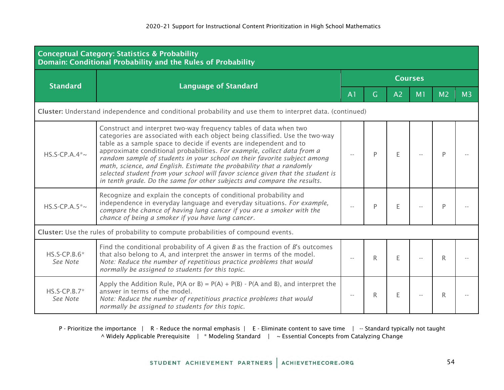| <b>Conceptual Category: Statistics &amp; Probability</b><br>Domain: Conditional Probability and the Rules of Probability |                                                                                                                                                                                                                                                                                                                                                                                                                                                                                                                                                                                                                     |                |              |                |                |                |                |  |  |  |
|--------------------------------------------------------------------------------------------------------------------------|---------------------------------------------------------------------------------------------------------------------------------------------------------------------------------------------------------------------------------------------------------------------------------------------------------------------------------------------------------------------------------------------------------------------------------------------------------------------------------------------------------------------------------------------------------------------------------------------------------------------|----------------|--------------|----------------|----------------|----------------|----------------|--|--|--|
| <b>Standard</b>                                                                                                          | <b>Language of Standard</b>                                                                                                                                                                                                                                                                                                                                                                                                                                                                                                                                                                                         | <b>Courses</b> |              |                |                |                |                |  |  |  |
|                                                                                                                          |                                                                                                                                                                                                                                                                                                                                                                                                                                                                                                                                                                                                                     | A <sub>1</sub> | G.           | A <sub>2</sub> | M <sub>1</sub> | M <sub>2</sub> | M <sub>3</sub> |  |  |  |
|                                                                                                                          | Cluster: Understand independence and conditional probability and use them to interpret data. (continued)                                                                                                                                                                                                                                                                                                                                                                                                                                                                                                            |                |              |                |                |                |                |  |  |  |
| $HS.S-CP.A.4$ <sup>*</sup> ~                                                                                             | Construct and interpret two-way frequency tables of data when two<br>categories are associated with each object being classified. Use the two-way<br>table as a sample space to decide if events are independent and to<br>approximate conditional probabilities. For example, collect data from a<br>random sample of students in your school on their favorite subject among<br>math, science, and English. Estimate the probability that a randomly<br>selected student from your school will favor science given that the student is<br>in tenth grade. Do the same for other subjects and compare the results. |                | P            | E              |                | D              |                |  |  |  |
| $HS.S-CP.A.5^*~$                                                                                                         | Recognize and explain the concepts of conditional probability and<br>independence in everyday language and everyday situations. For example,<br>compare the chance of having lung cancer if you are a smoker with the<br>chance of being a smoker if you have lung cancer.                                                                                                                                                                                                                                                                                                                                          |                | P            | F              |                | P              |                |  |  |  |
|                                                                                                                          | Cluster: Use the rules of probability to compute probabilities of compound events.                                                                                                                                                                                                                                                                                                                                                                                                                                                                                                                                  |                |              |                |                |                |                |  |  |  |
| $HS.S-CP.B.6*$<br>See Note                                                                                               | Find the conditional probability of $A$ given $B$ as the fraction of $B$ 's outcomes<br>that also belong to A, and interpret the answer in terms of the model.<br>Note: Reduce the number of repetitious practice problems that would<br>normally be assigned to students for this topic.                                                                                                                                                                                                                                                                                                                           |                | $\mathsf{R}$ | E              |                | R              |                |  |  |  |
| $HS.S-CP.B.7*$<br>See Note                                                                                               | Apply the Addition Rule, $P(A \text{ or } B) = P(A) + P(B) - P(A \text{ and } B)$ , and interpret the<br>answer in terms of the model.<br>Note: Reduce the number of repetitious practice problems that would<br>normally be assigned to students for this topic.                                                                                                                                                                                                                                                                                                                                                   |                | R.           | E              |                | R.             |                |  |  |  |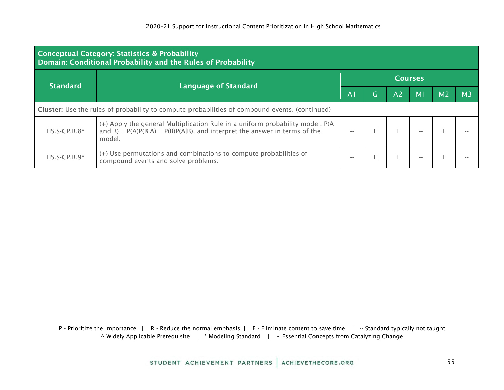| <b>Conceptual Category: Statistics &amp; Probability</b><br>Domain: Conditional Probability and the Rules of Probability |                                                                                                                                                                           |                |          |                |                |                |                |  |  |
|--------------------------------------------------------------------------------------------------------------------------|---------------------------------------------------------------------------------------------------------------------------------------------------------------------------|----------------|----------|----------------|----------------|----------------|----------------|--|--|
| <b>Standard</b>                                                                                                          | <b>Language of Standard</b>                                                                                                                                               | <b>Courses</b> |          |                |                |                |                |  |  |
|                                                                                                                          |                                                                                                                                                                           | A <sub>1</sub> | <b>G</b> | A <sub>2</sub> | M <sub>1</sub> | M <sub>2</sub> | M <sub>3</sub> |  |  |
| Cluster: Use the rules of probability to compute probabilities of compound events. (continued)                           |                                                                                                                                                                           |                |          |                |                |                |                |  |  |
| $HS.S-CP.B.8*$                                                                                                           | (+) Apply the general Multiplication Rule in a uniform probability model, P(A)<br>and B) = $P(A)P(B A) = P(B)P(A B)$ , and interpret the answer in terms of the<br>model. | $- -$          |          |                |                |                |                |  |  |
| $HS.S-CP.B.9*$                                                                                                           | (+) Use permutations and combinations to compute probabilities of<br>compound events and solve problems.                                                                  | $- -$          |          |                |                |                |                |  |  |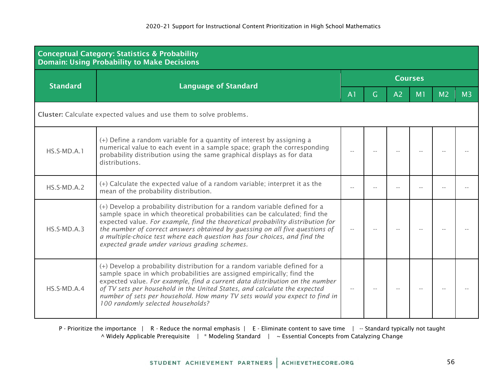| <b>Conceptual Category: Statistics &amp; Probability</b><br><b>Domain: Using Probability to Make Decisions</b> |                                                                                                                                                                                                                                                                                                                                                                                                                                                          |                |   |                |                |                |                |  |  |  |
|----------------------------------------------------------------------------------------------------------------|----------------------------------------------------------------------------------------------------------------------------------------------------------------------------------------------------------------------------------------------------------------------------------------------------------------------------------------------------------------------------------------------------------------------------------------------------------|----------------|---|----------------|----------------|----------------|----------------|--|--|--|
| <b>Standard</b>                                                                                                |                                                                                                                                                                                                                                                                                                                                                                                                                                                          | <b>Courses</b> |   |                |                |                |                |  |  |  |
|                                                                                                                | <b>Language of Standard</b>                                                                                                                                                                                                                                                                                                                                                                                                                              | A <sub>1</sub> | G | A <sub>2</sub> | M <sub>1</sub> | M <sub>2</sub> | M <sub>3</sub> |  |  |  |
| Cluster: Calculate expected values and use them to solve problems.                                             |                                                                                                                                                                                                                                                                                                                                                                                                                                                          |                |   |                |                |                |                |  |  |  |
| HS.S-MD.A.1                                                                                                    | (+) Define a random variable for a quantity of interest by assigning a<br>numerical value to each event in a sample space; graph the corresponding<br>probability distribution using the same graphical displays as for data<br>distributions.                                                                                                                                                                                                           |                |   |                |                |                |                |  |  |  |
| $HS.S-MD.A.2$                                                                                                  | (+) Calculate the expected value of a random variable; interpret it as the<br>mean of the probability distribution.                                                                                                                                                                                                                                                                                                                                      |                |   |                |                |                |                |  |  |  |
| $HS.S-MD.A.3$                                                                                                  | (+) Develop a probability distribution for a random variable defined for a<br>sample space in which theoretical probabilities can be calculated; find the<br>expected value. For example, find the theoretical probability distribution for<br>the number of correct answers obtained by guessing on all five questions of<br>a multiple-choice test where each question has four choices, and find the<br>expected grade under various grading schemes. |                |   |                |                |                |                |  |  |  |
| HS.S-MD.A.4                                                                                                    | (+) Develop a probability distribution for a random variable defined for a<br>sample space in which probabilities are assigned empirically; find the<br>expected value. For example, find a current data distribution on the number<br>of TV sets per household in the United States, and calculate the expected<br>number of sets per household. How many TV sets would you expect to find in<br>100 randomly selected households?                      |                |   |                |                |                |                |  |  |  |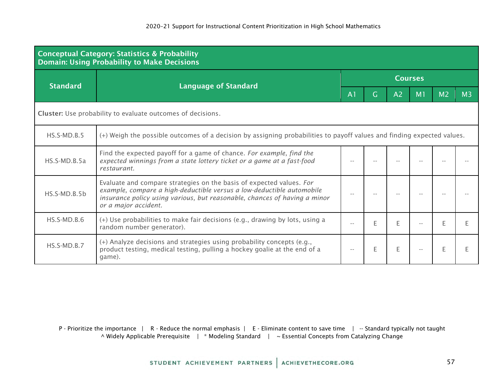| <b>Conceptual Category: Statistics &amp; Probability</b><br><b>Domain: Using Probability to Make Decisions</b> |                                                                                                                                                                                                                                                    |                |   |                |                |                |                |  |  |  |
|----------------------------------------------------------------------------------------------------------------|----------------------------------------------------------------------------------------------------------------------------------------------------------------------------------------------------------------------------------------------------|----------------|---|----------------|----------------|----------------|----------------|--|--|--|
| <b>Standard</b>                                                                                                |                                                                                                                                                                                                                                                    | <b>Courses</b> |   |                |                |                |                |  |  |  |
|                                                                                                                | <b>Language of Standard</b>                                                                                                                                                                                                                        | A <sub>1</sub> | G | A <sub>2</sub> | M <sub>1</sub> | M <sub>2</sub> | M <sub>3</sub> |  |  |  |
|                                                                                                                | Cluster: Use probability to evaluate outcomes of decisions.                                                                                                                                                                                        |                |   |                |                |                |                |  |  |  |
| $HS.S-MD.B.5$                                                                                                  | (+) Weigh the possible outcomes of a decision by assigning probabilities to payoff values and finding expected values.                                                                                                                             |                |   |                |                |                |                |  |  |  |
| $HS.S-MD.B.5a$                                                                                                 | Find the expected payoff for a game of chance. For example, find the<br>expected winnings from a state lottery ticket or a game at a fast-food<br>restaurant.                                                                                      |                |   |                |                |                |                |  |  |  |
| $HS.S-MD.B.5b$                                                                                                 | Evaluate and compare strategies on the basis of expected values. For<br>example, compare a high-deductible versus a low-deductible automobile<br>insurance policy using various, but reasonable, chances of having a minor<br>or a major accident. |                |   |                |                |                |                |  |  |  |
| $HS.S-MD.B.6$                                                                                                  | (+) Use probabilities to make fair decisions (e.g., drawing by lots, using a<br>random number generator).                                                                                                                                          | $\overline{a}$ | F | E              |                |                |                |  |  |  |
| $HS.S-MD.B.7$                                                                                                  | (+) Analyze decisions and strategies using probability concepts (e.g.,<br>product testing, medical testing, pulling a hockey goalie at the end of a<br>game).                                                                                      |                | E | E              |                |                |                |  |  |  |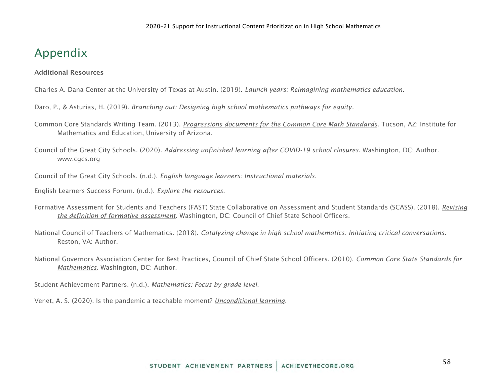# <span id="page-57-0"></span>Appendix

#### <span id="page-57-1"></span>Additional Resources

Charles A. Dana Center at the University of Texas at Austin. (2019). *[Launch](https://www.utdanacenter.org/our-work/k-12-education/launch-years) [years: Reimagining mathematics education.](https://www.utdanacenter.org/our-work/k-12-education/launch-years)*

Daro, P., & Asturias, H. (2019). *[Branching out: Designing high school mathematics pathways for equity.](https://justequations.org/wp-content/uploads/Just-Equations-2019-Report-Branching-Out-Digital.pdf)*

Common Core Standards Writing Team. (2013). *[Progressions documents for the Common Core Math Standards](http://ime.math.arizona.edu/progressions/)*. Tucson, AZ: Institute for Mathematics and Education, University of Arizona.

Council of the Great City Schools. (2020)*. Addressing unfinished learning after COVID-19 school closures*. Washington, DC: Author. [www.cgcs.org](http://www.cgcs.org/)

Council of the Great City Schools. (n.d.). *[English language learners: Instructional materials](https://www.cgcs.org/Page/664)*.

English Learners Success Forum. (n.d.). *[Explore the resources](https://www.elsuccessforum.org/resources)*.

Formative Assessment for Students and Teachers (FAST) State Collaborative on Assessment and Student Standards (SCASS). (2018). *[Revising](https://ccsso.org/sites/default/files/2018-06/Revising%20the%20Definition%20of%20Formative%20Assessment.pdf)  [the definition of formative assessment](https://ccsso.org/sites/default/files/2018-06/Revising%20the%20Definition%20of%20Formative%20Assessment.pdf)*. Washington, DC: Council of Chief State School Officers.

National Council of Teachers of Mathematics. (2018). *Catalyzing change in high school mathematics: Initiating critical conversations*. Reston, VA: Author.

National Governors Association Center for Best Practices, Council of Chief State School Officers. (2010). *[Common Core State Standards for](http://www.corestandards.org/Math/)  [Mathematics](http://www.corestandards.org/Math/)*. Washington, DC: Author.

Student Achievement Partners. (n.d.). *[Mathematics: Focus by grade level](https://achievethecore.org/category/774/mathematics-focus-by-grade-level)*.

Venet, A. S. (2020). Is the pandemic a teachable moment? *[Unconditional learning](https://unconditionallearning.org/2020/07/21/%20is-the-pandemic-a-teachable-moment/)*.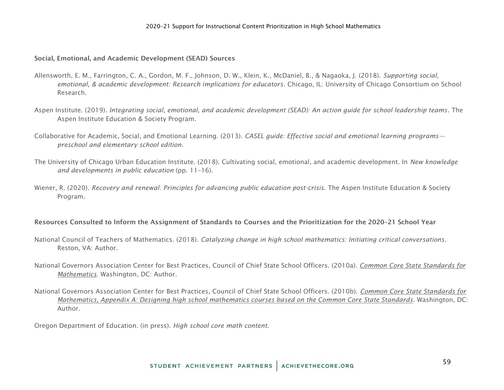#### <span id="page-58-0"></span>Social, Emotional, and Academic Development (SEAD) Sources

- Allensworth, E. M., Farrington, C. A., Gordon, M. F., Johnson, D. W., Klein, K., McDaniel, B., & Nagaoka, J. (2018). *Supporting social, emotional, & academic development: Research implications for educators*. Chicago, IL: University of Chicago Consortium on School Research.
- Aspen Institute. (2019). *Integrating social, emotional, and academic development (SEAD): An action guide for school leadership teams*. The Aspen Institute Education & Society Program.
- Collaborative for Academic, Social, and Emotional Learning. (2013). *CASEL guide: Effective social and emotional learning programs preschool and elementary school edition*.
- The University of Chicago Urban Education Institute. (2018). Cultivating social, emotional, and academic development. In *New knowledge and developments in public education* (pp. 11–16).
- Wiener, R. (2020). *Recovery and renewal: Principles for advancing public education post-crisis*. The Aspen Institute Education & Society Program.

#### <span id="page-58-1"></span>Resources Consulted to Inform the Assignment of Standards to Courses and the Prioritization for the 2020–21 School Year

- National Council of Teachers of Mathematics. (2018). *Catalyzing change in high school mathematics: Initiating critical conversations*. Reston, VA: Author.
- National Governors Association Center for Best Practices, Council of Chief State School Officers. (2010a). *[Common Core State Standards for](http://www.corestandards.org/Math/)  [Mathematics](http://www.corestandards.org/Math/)*. Washington, DC: Author.
- National Governors Association Center for Best Practices, Council of Chief State School Officers. (2010b). *[Common Core State Standards for](http://www.corestandards.org/assets/CCSSI_Mathematics_Appendix_A.pdf)  [Mathematics, Appendix A: Designing high school mathematics courses based on the Common Core State Standards](http://www.corestandards.org/assets/CCSSI_Mathematics_Appendix_A.pdf)*. Washington, DC: Author.

Oregon Department of Education. (in press). *High school core math content*.